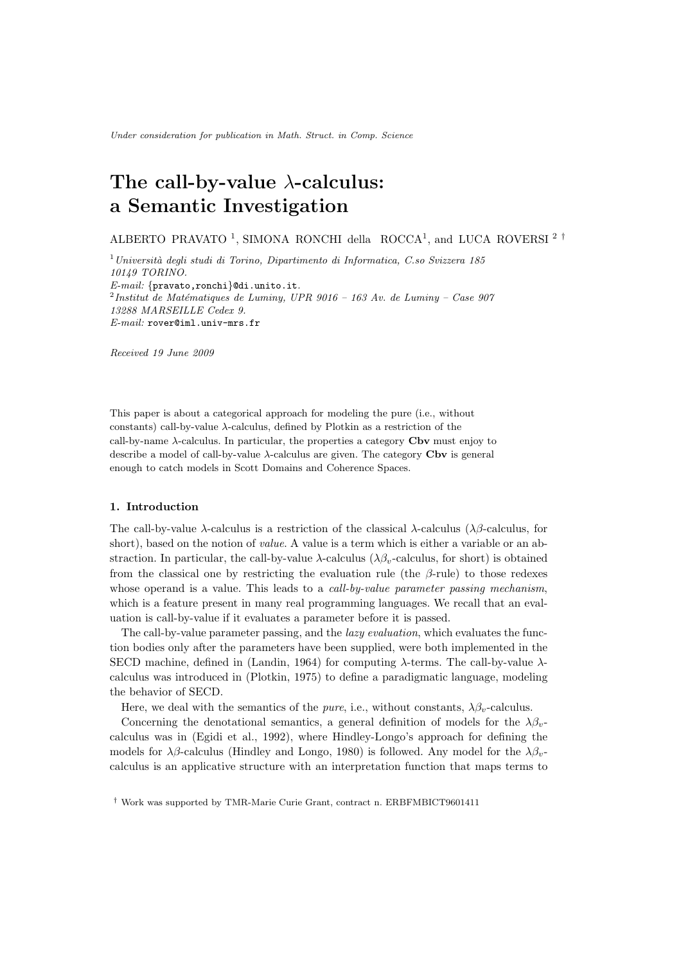Under consideration for publication in Math. Struct. in Comp. Science

# The call-by-value  $\lambda$ -calculus: a Semantic Investigation

ALBERTO PRAVATO<sup>1</sup>, SIMONA RONCHI della ROCCA<sup>1</sup>, and LUCA ROVERSI<sup>2</sup><sup>†</sup>

 $1$ Università degli studi di Torino, Dipartimento di Informatica, C.so Svizzera 185 10149 TORINO. E-mail: {pravato,ronchi}@di.unito.it.  $^{2}$ Institut de Matématiques de Luminy, UPR 9016 – 163 Av. de Luminy – Case 907 13288 MARSEILLE Cedex 9. E-mail: rover@iml.univ-mrs.fr

Received 19 June 2009

This paper is about a categorical approach for modeling the pure (i.e., without constants) call-by-value  $\lambda$ -calculus, defined by Plotkin as a restriction of the call-by-name  $\lambda$ -calculus. In particular, the properties a category Cbv must enjoy to describe a model of call-by-value  $\lambda$ -calculus are given. The category Cbv is general enough to catch models in Scott Domains and Coherence Spaces.

# 1. Introduction

The call-by-value  $\lambda$ -calculus is a restriction of the classical  $\lambda$ -calculus ( $\lambda\beta$ -calculus, for short), based on the notion of *value*. A value is a term which is either a variable or an abstraction. In particular, the call-by-value  $\lambda$ -calculus ( $\lambda\beta$ <sub>n</sub>-calculus, for short) is obtained from the classical one by restricting the evaluation rule (the  $\beta$ -rule) to those redexes whose operand is a value. This leads to a *call-by-value parameter passing mechanism*, which is a feature present in many real programming languages. We recall that an evaluation is call-by-value if it evaluates a parameter before it is passed.

The call-by-value parameter passing, and the *lazy evaluation*, which evaluates the function bodies only after the parameters have been supplied, were both implemented in the SECD machine, defined in (Landin, 1964) for computing  $\lambda$ -terms. The call-by-value  $\lambda$ calculus was introduced in (Plotkin, 1975) to define a paradigmatic language, modeling the behavior of SECD.

Here, we deal with the semantics of the *pure*, i.e., without constants,  $\lambda \beta_v$ -calculus.

Concerning the denotational semantics, a general definition of models for the  $\lambda \beta_v$ calculus was in (Egidi et al., 1992), where Hindley-Longo's approach for defining the models for  $\lambda\beta$ -calculus (Hindley and Longo, 1980) is followed. Any model for the  $\lambda\beta_{\nu}$ calculus is an applicative structure with an interpretation function that maps terms to

<sup>†</sup> Work was supported by TMR-Marie Curie Grant, contract n. ERBFMBICT9601411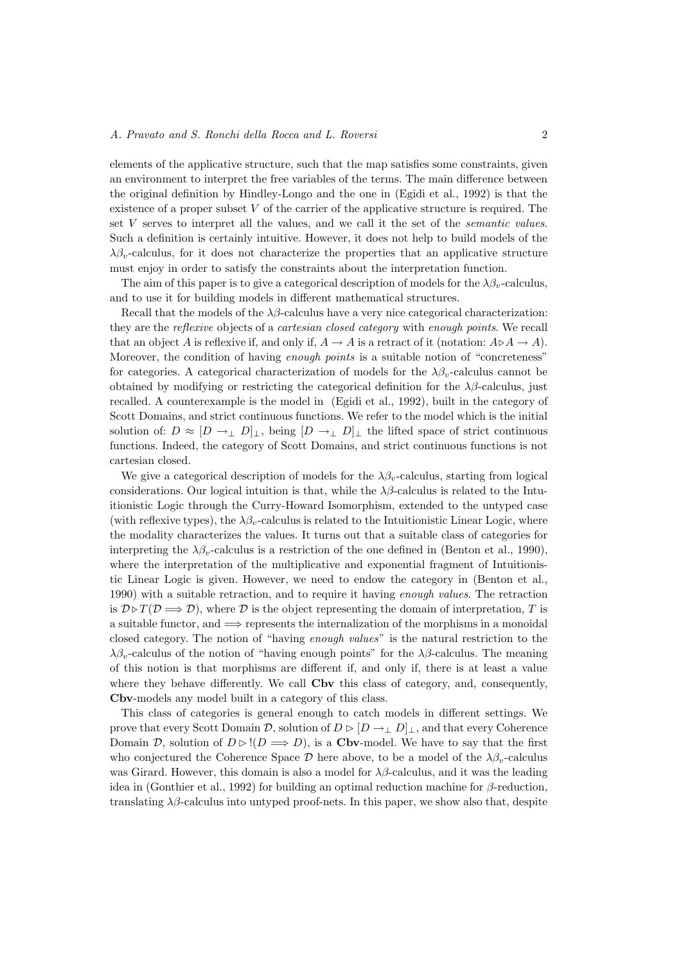elements of the applicative structure, such that the map satisfies some constraints, given an environment to interpret the free variables of the terms. The main difference between the original definition by Hindley-Longo and the one in (Egidi et al., 1992) is that the existence of a proper subset  $V$  of the carrier of the applicative structure is required. The set V serves to interpret all the values, and we call it the set of the semantic values. Such a definition is certainly intuitive. However, it does not help to build models of the  $\lambda \beta_v$ -calculus, for it does not characterize the properties that an applicative structure must enjoy in order to satisfy the constraints about the interpretation function.

The aim of this paper is to give a categorical description of models for the  $\lambda\beta_v$ -calculus, and to use it for building models in different mathematical structures.

Recall that the models of the  $\lambda\beta$ -calculus have a very nice categorical characterization: they are the reflexive objects of a cartesian closed category with enough points. We recall that an object A is reflexive if, and only if,  $A \to A$  is a retract of it (notation:  $A \triangleright A \to A$ ). Moreover, the condition of having *enough points* is a suitable notion of "concreteness" for categories. A categorical characterization of models for the  $\lambda \beta_v$ -calculus cannot be obtained by modifying or restricting the categorical definition for the  $\lambda\beta$ -calculus, just recalled. A counterexample is the model in (Egidi et al., 1992), built in the category of Scott Domains, and strict continuous functions. We refer to the model which is the initial solution of:  $D \approx [D \to_{\perp} D]_{\perp}$ , being  $[D \to_{\perp} D]_{\perp}$  the lifted space of strict continuous functions. Indeed, the category of Scott Domains, and strict continuous functions is not cartesian closed.

We give a categorical description of models for the  $\lambda \beta_n$ -calculus, starting from logical considerations. Our logical intuition is that, while the  $\lambda\beta$ -calculus is related to the Intuitionistic Logic through the Curry-Howard Isomorphism, extended to the untyped case (with reflexive types), the  $\lambda \beta_v$ -calculus is related to the Intuitionistic Linear Logic, where the modality characterizes the values. It turns out that a suitable class of categories for interpreting the  $\lambda \beta_v$ -calculus is a restriction of the one defined in (Benton et al., 1990), where the interpretation of the multiplicative and exponential fragment of Intuitionistic Linear Logic is given. However, we need to endow the category in (Benton et al., 1990) with a suitable retraction, and to require it having enough values. The retraction is  $\mathcal{D} \triangleright T(\mathcal{D} \Longrightarrow \mathcal{D})$ , where  $\mathcal D$  is the object representing the domain of interpretation, T is a suitable functor, and  $\implies$  represents the internalization of the morphisms in a monoidal closed category. The notion of "having enough values" is the natural restriction to the  $\lambda \beta_v$ -calculus of the notion of "having enough points" for the  $\lambda \beta$ -calculus. The meaning of this notion is that morphisms are different if, and only if, there is at least a value where they behave differently. We call **Cbv** this class of category, and, consequently, Cbv-models any model built in a category of this class.

This class of categories is general enough to catch models in different settings. We prove that every Scott Domain D, solution of  $D \triangleright [D \rightarrow \perp D]_{\perp}$ , and that every Coherence Domain D, solution of  $D \triangleright !(D \Longrightarrow D)$ , is a Cbv-model. We have to say that the first who conjectured the Coherence Space D here above, to be a model of the  $\lambda \beta_v$ -calculus was Girard. However, this domain is also a model for  $\lambda\beta$ -calculus, and it was the leading idea in (Gonthier et al., 1992) for building an optimal reduction machine for β-reduction, translating  $\lambda\beta$ -calculus into untyped proof-nets. In this paper, we show also that, despite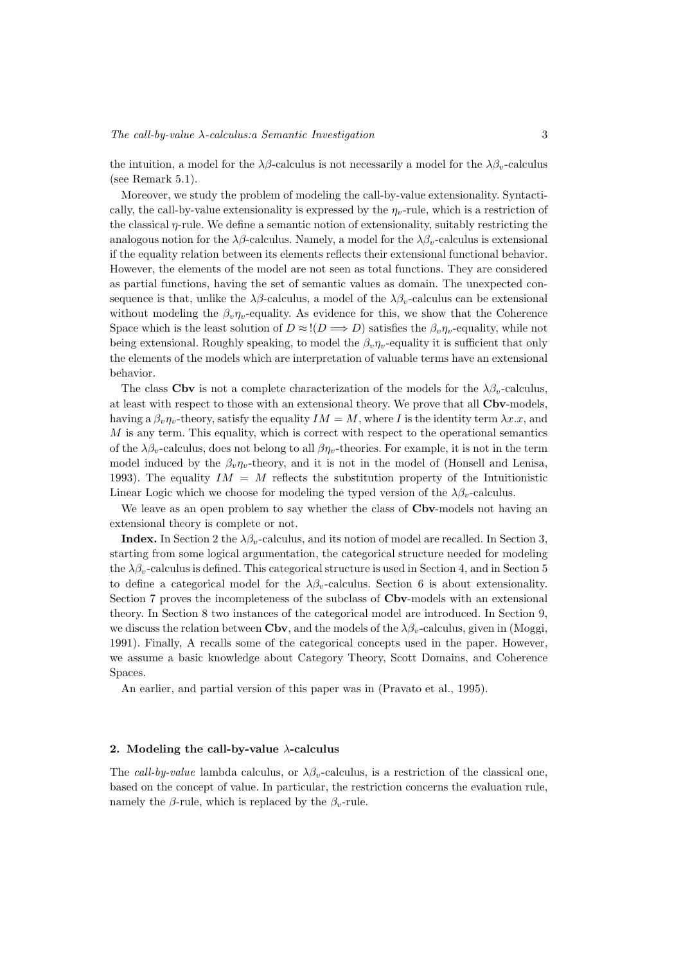the intuition, a model for the  $\lambda\beta$ -calculus is not necessarily a model for the  $\lambda\beta_v$ -calculus (see Remark 5.1).

Moreover, we study the problem of modeling the call-by-value extensionality. Syntactically, the call-by-value extensionality is expressed by the  $\eta_v$ -rule, which is a restriction of the classical η-rule. We define a semantic notion of extensionality, suitably restricting the analogous notion for the  $\lambda\beta$ -calculus. Namely, a model for the  $\lambda\beta_v$ -calculus is extensional if the equality relation between its elements reflects their extensional functional behavior. However, the elements of the model are not seen as total functions. They are considered as partial functions, having the set of semantic values as domain. The unexpected consequence is that, unlike the  $\lambda\beta$ -calculus, a model of the  $\lambda\beta_v$ -calculus can be extensional without modeling the  $\beta_v \eta_v$ -equality. As evidence for this, we show that the Coherence Space which is the least solution of  $D \approx I(D \Longrightarrow D)$  satisfies the  $\beta_v \eta_v$ -equality, while not being extensional. Roughly speaking, to model the  $\beta_v \eta_v$ -equality it is sufficient that only the elements of the models which are interpretation of valuable terms have an extensional behavior.

The class Cbv is not a complete characterization of the models for the  $\lambda \beta_v$ -calculus, at least with respect to those with an extensional theory. We prove that all **Cbv-**models, having a  $\beta_v \eta_v$ -theory, satisfy the equality  $IM = M$ , where I is the identity term  $\lambda x.x$ , and M is any term. This equality, which is correct with respect to the operational semantics of the  $\lambda \beta_v$ -calculus, does not belong to all  $\beta \eta_v$ -theories. For example, it is not in the term model induced by the  $\beta_v \eta_v$ -theory, and it is not in the model of (Honsell and Lenisa, 1993). The equality  $IM = M$  reflects the substitution property of the Intuitionistic Linear Logic which we choose for modeling the typed version of the  $\lambda \beta_v$ -calculus.

We leave as an open problem to say whether the class of  $Cbv$ -models not having an extensional theory is complete or not.

**Index.** In Section 2 the  $\lambda \beta_v$ -calculus, and its notion of model are recalled. In Section 3, starting from some logical argumentation, the categorical structure needed for modeling the  $\lambda \beta_v$ -calculus is defined. This categorical structure is used in Section 4, and in Section 5 to define a categorical model for the  $\lambda \beta_v$ -calculus. Section 6 is about extensionality. Section 7 proves the incompleteness of the subclass of Cbv-models with an extensional theory. In Section 8 two instances of the categorical model are introduced. In Section 9, we discuss the relation between Cbv, and the models of the  $\lambda \beta_v$ -calculus, given in (Moggi, 1991). Finally, A recalls some of the categorical concepts used in the paper. However, we assume a basic knowledge about Category Theory, Scott Domains, and Coherence Spaces.

An earlier, and partial version of this paper was in (Pravato et al., 1995).

### 2. Modeling the call-by-value  $\lambda$ -calculus

The call-by-value lambda calculus, or  $\lambda \beta_v$ -calculus, is a restriction of the classical one, based on the concept of value. In particular, the restriction concerns the evaluation rule, namely the  $\beta$ -rule, which is replaced by the  $\beta_v$ -rule.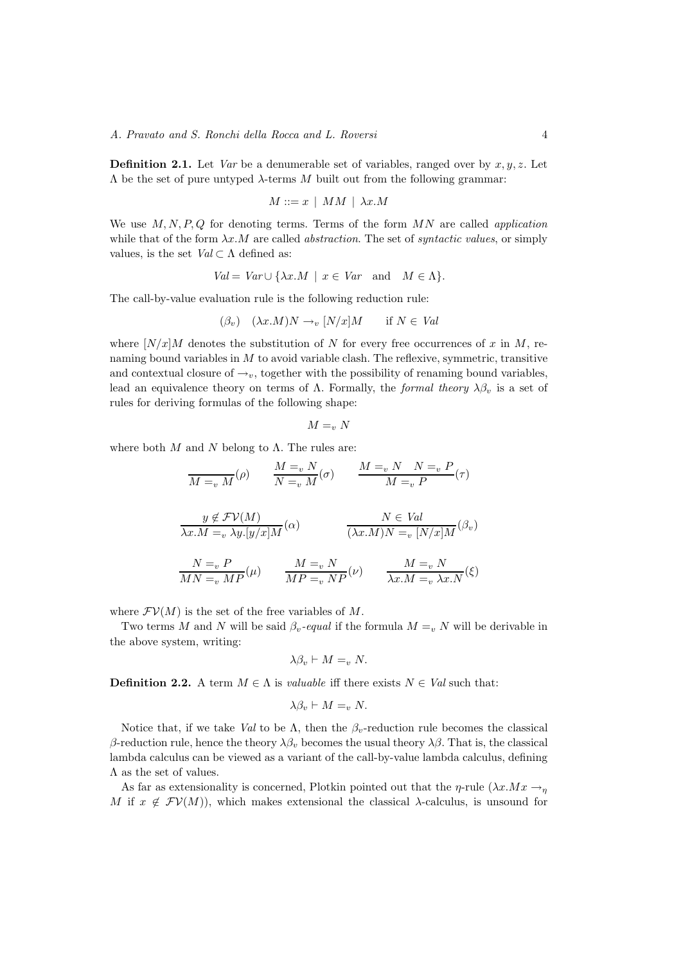**Definition 2.1.** Let Var be a denumerable set of variables, ranged over by  $x, y, z$ . Let  $Λ$  be the set of pure untyped  $λ$ -terms  $M$  built out from the following grammar:

$$
M ::= x \mid MM \mid \lambda x.M
$$

We use  $M, N, P, Q$  for denoting terms. Terms of the form  $MN$  are called *application* while that of the form  $\lambda x.M$  are called *abstraction*. The set of *syntactic values*, or simply values, is the set  $Val \subset \Lambda$  defined as:

$$
Val = Var \cup \{ \lambda x.M \mid x \in Var \text{ and } M \in \Lambda \}.
$$

The call-by-value evaluation rule is the following reduction rule:

$$
(\beta_v) \quad (\lambda x.M)N \to_v [N/x]M \quad \text{if } N \in Val
$$

where  $[N/x]M$  denotes the substitution of N for every free occurrences of x in M, renaming bound variables in  $M$  to avoid variable clash. The reflexive, symmetric, transitive and contextual closure of  $\rightarrow_v$ , together with the possibility of renaming bound variables, lead an equivalence theory on terms of  $\Lambda$ . Formally, the formal theory  $\lambda \beta_v$  is a set of rules for deriving formulas of the following shape:

$$
M=_vN
$$

where both  $M$  and  $N$  belong to  $\Lambda$ . The rules are:

$$
\overline{M} =_{v} M(\rho) \qquad \frac{M =_{v} N}{N =_{v} M}(\sigma) \qquad \frac{M =_{v} N \quad N =_{v} P}{M =_{v} P}(\tau)
$$
\n
$$
\frac{y \notin \mathcal{FV}(M)}{\lambda x.M =_{v} \lambda y.[y/x]M}(\alpha) \qquad \frac{N \in Val}{(\lambda x.M)N =_{v} [N/x]M}(\beta_{v})
$$
\n
$$
\frac{N =_{v} P}{MN =_{v} MP}(\mu) \qquad \frac{M =_{v} N}{MP =_{v} NP}(\nu) \qquad \frac{M =_{v} N}{\lambda x.M =_{v} \lambda x.N}(\xi)
$$

where  $\mathcal{F}V(M)$  is the set of the free variables of M.

Two terms M and N will be said  $\beta_v$ -equal if the formula  $M = v$  N will be derivable in the above system, writing:

$$
\lambda \beta_v \vdash M =_v N.
$$

**Definition 2.2.** A term  $M \in \Lambda$  is *valuable* iff there exists  $N \in Val$  such that:

$$
\lambda \beta_v \vdash M =_v N.
$$

Notice that, if we take Val to be  $\Lambda$ , then the  $\beta_v$ -reduction rule becomes the classical β-reduction rule, hence the theory  $\lambda \beta$ , becomes the usual theory  $\lambda \beta$ . That is, the classical lambda calculus can be viewed as a variant of the call-by-value lambda calculus, defining  $\Lambda$  as the set of values.

As far as extensionality is concerned, Plotkin pointed out that the  $\eta$ -rule  $(\lambda x.Mx \rightarrow_n$ M if  $x \notin \mathcal{F}V(M)$ , which makes extensional the classical  $\lambda$ -calculus, is unsound for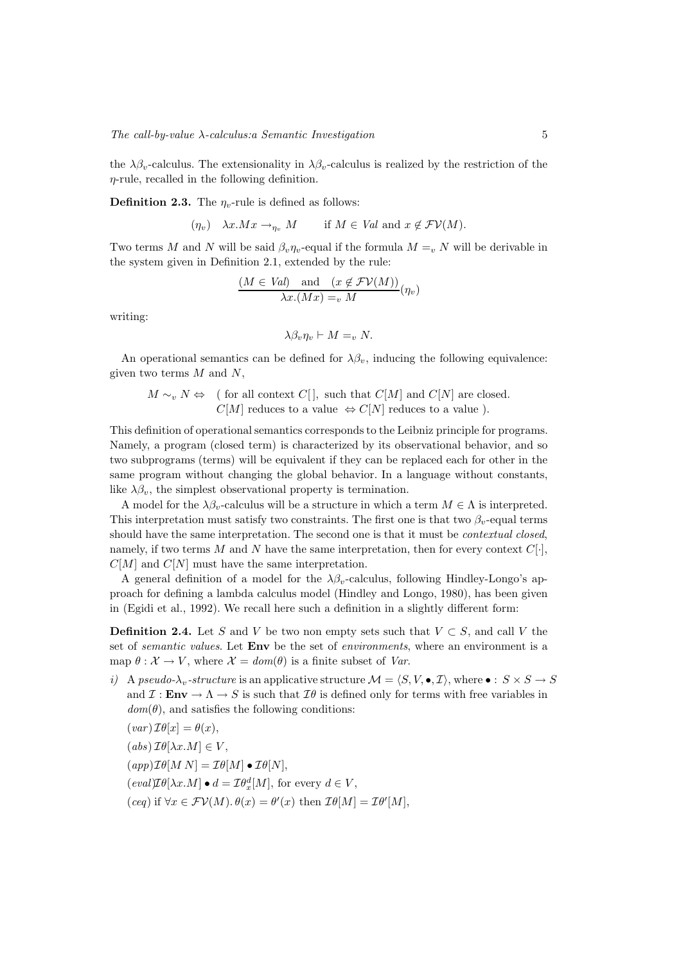the  $\lambda \beta_v$ -calculus. The extensionality in  $\lambda \beta_v$ -calculus is realized by the restriction of the  $\eta$ -rule, recalled in the following definition.

**Definition 2.3.** The  $\eta_v$ -rule is defined as follows:

$$
(\eta_v) \quad \lambda x.Mx \to_{\eta_v} M
$$
 if  $M \in Val$  and  $x \notin FV(M)$ .

Two terms M and N will be said  $\beta_v \eta_v$ -equal if the formula  $M =_v N$  will be derivable in the system given in Definition 2.1, extended by the rule:

$$
\frac{(M \in Val) \quad \text{and} \quad (x \notin \mathcal{FV}(M))}{\lambda x.(Mx) =_{v} M}(\eta_{v})
$$

writing:

$$
\lambda \beta_v \eta_v \vdash M =_v N.
$$

An operational semantics can be defined for  $\lambda\beta_v$ , inducing the following equivalence: given two terms  $M$  and  $N$ ,

 $M \sim_v N \Leftrightarrow$  ( for all context C[], such that C[M] and C[N] are closed.  $C[M]$  reduces to a value  $\Leftrightarrow C[N]$  reduces to a value).

This definition of operational semantics corresponds to the Leibniz principle for programs. Namely, a program (closed term) is characterized by its observational behavior, and so two subprograms (terms) will be equivalent if they can be replaced each for other in the same program without changing the global behavior. In a language without constants, like  $\lambda \beta_v$ , the simplest observational property is termination.

A model for the  $\lambda \beta_v$ -calculus will be a structure in which a term  $M \in \Lambda$  is interpreted. This interpretation must satisfy two constraints. The first one is that two  $\beta_v$ -equal terms should have the same interpretation. The second one is that it must be contextual closed, namely, if two terms M and N have the same interpretation, then for every context  $C[\cdot]$ ,  $C[M]$  and  $C[N]$  must have the same interpretation.

A general definition of a model for the  $\lambda\beta_v$ -calculus, following Hindley-Longo's approach for defining a lambda calculus model (Hindley and Longo, 1980), has been given in (Egidi et al., 1992). We recall here such a definition in a slightly different form:

**Definition 2.4.** Let S and V be two non empty sets such that  $V \subset S$ , and call V the set of *semantic values*. Let **Env** be the set of *environments*, where an environment is a map  $\theta : \mathcal{X} \to V$ , where  $\mathcal{X} = dom(\theta)$  is a finite subset of Var.

i) A pseudo- $\lambda_v$ -structure is an applicative structure  $\mathcal{M} = \langle S, V, \bullet, \mathcal{I} \rangle$ , where  $\bullet : S \times S \to S$ and  $\mathcal{I}: \mathbf{Env} \to \Lambda \to S$  is such that  $\mathcal{I}\theta$  is defined only for terms with free variables in  $dom(\theta)$ , and satisfies the following conditions:

$$
(var)\,\mathcal{I}\theta[x] = \theta(x),
$$

$$
(abs)\,\mathcal{I}\theta[\lambda x.M]\in V,
$$

 $(app)\mathcal{I}\theta[M\ N] = \mathcal{I}\theta[M] \bullet \mathcal{I}\theta[N],$ 

- $\left(\text{eval})\mathcal{I}\theta[\lambda x.M\right] \bullet d = \mathcal{I}\theta_x^d[M],$  for every  $d \in V$ ,
- $(ceq)$  if  $\forall x \in \mathcal{FV}(M)$ .  $\theta(x) = \theta'(x)$  then  $\mathcal{I}\theta[M] = \mathcal{I}\theta'[M]$ ,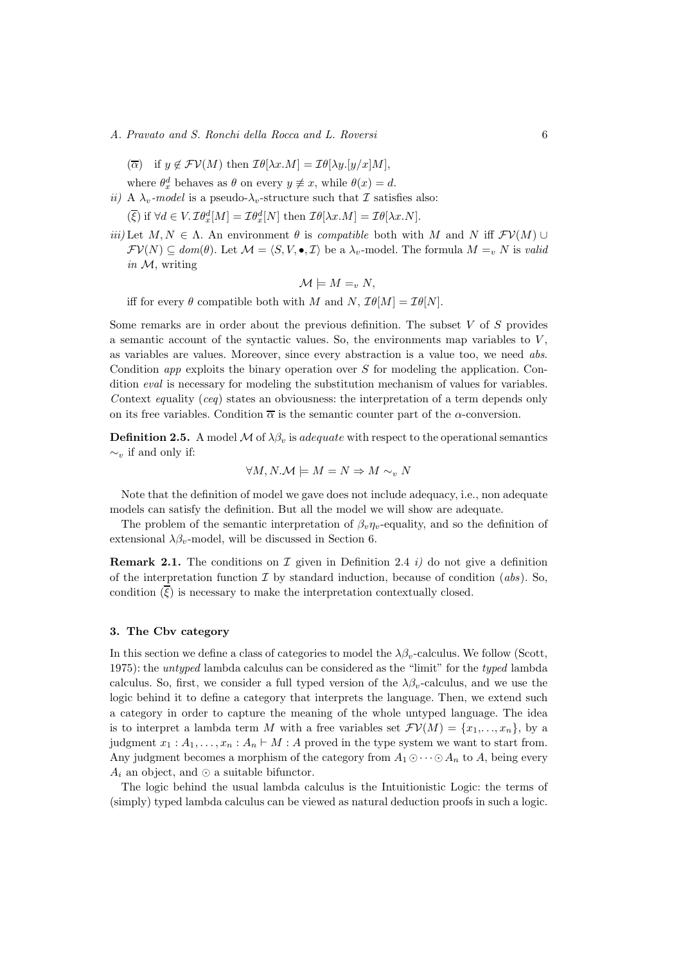- A. Pravato and S. Ronchi della Rocca and L. Roversi 6
	- $(\overline{\alpha})$  if  $y \notin \mathcal{F}V(M)$  then  $\mathcal{I}\theta[\lambda x.M] = \mathcal{I}\theta[\lambda y.[y/x]M],$
	- where  $\theta_x^d$  behaves as  $\theta$  on every  $y \neq x$ , while  $\theta(x) = d$ .
- ii) A  $\lambda_v$ -model is a pseudo- $\lambda_v$ -structure such that  $\mathcal I$  satisfies also:  $(\overline{\xi})$  if  $\forall d \in V$ .  $\mathcal{I}\theta_x^d[M] = \mathcal{I}\theta_x^d[N]$  then  $\mathcal{I}\theta[\lambda x.M] = \mathcal{I}\theta[\lambda x.N]$ .
- iii) Let  $M, N \in \Lambda$ . An environment  $\theta$  is *compatible* both with M and N iff  $\mathcal{F}V(M)$  ∪  $\mathcal{F}V(N) \subseteq dom(\theta)$ . Let  $\mathcal{M} = \langle S, V, \bullet, \mathcal{I} \rangle$  be a  $\lambda_v$ -model. The formula  $M =_v N$  is valid in  $M$ , writing

$$
\mathcal{M}\models M=_v N,
$$

iff for every  $\theta$  compatible both with M and N,  $\mathcal{I}\theta[M] = \mathcal{I}\theta[N].$ 

Some remarks are in order about the previous definition. The subset  $V$  of  $S$  provides a semantic account of the syntactic values. So, the environments map variables to  $V$ , as variables are values. Moreover, since every abstraction is a value too, we need abs. Condition *app* exploits the binary operation over  $S$  for modeling the application. Condition eval is necessary for modeling the substitution mechanism of values for variables. Context equality (ceq) states an obviousness: the interpretation of a term depends only on its free variables. Condition  $\bar{\alpha}$  is the semantic counter part of the  $\alpha$ -conversion.

**Definition 2.5.** A model M of  $\lambda \beta_v$  is *adequate* with respect to the operational semantics  $\sim_{v}$  if and only if:

$$
\forall M, N. \mathcal{M} \models M = N \Rightarrow M \sim_v N
$$

Note that the definition of model we gave does not include adequacy, i.e., non adequate models can satisfy the definition. But all the model we will show are adequate.

The problem of the semantic interpretation of  $\beta_n \eta_v$ -equality, and so the definition of extensional  $\lambda \beta_v$ -model, will be discussed in Section 6.

**Remark 2.1.** The conditions on  $\mathcal I$  given in Definition 2.4 i) do not give a definition of the interpretation function  $\mathcal I$  by standard induction, because of condition (abs). So, condition  $(\overline{\xi})$  is necessary to make the interpretation contextually closed.

# 3. The Cbv category

In this section we define a class of categories to model the  $\lambda \beta_v$ -calculus. We follow (Scott, 1975): the untyped lambda calculus can be considered as the "limit" for the typed lambda calculus. So, first, we consider a full typed version of the  $\lambda \beta_v$ -calculus, and we use the logic behind it to define a category that interprets the language. Then, we extend such a category in order to capture the meaning of the whole untyped language. The idea is to interpret a lambda term M with a free variables set  $\mathcal{F}V(M) = \{x_1, \ldots, x_n\}$ , by a judgment  $x_1 : A_1, \ldots, x_n : A_n \vdash M : A$  proved in the type system we want to start from. Any judgment becomes a morphism of the category from  $A_1 \odot \cdots \odot A_n$  to A, being every  $A_i$  an object, and ⊙ a suitable bifunctor.

The logic behind the usual lambda calculus is the Intuitionistic Logic: the terms of (simply) typed lambda calculus can be viewed as natural deduction proofs in such a logic.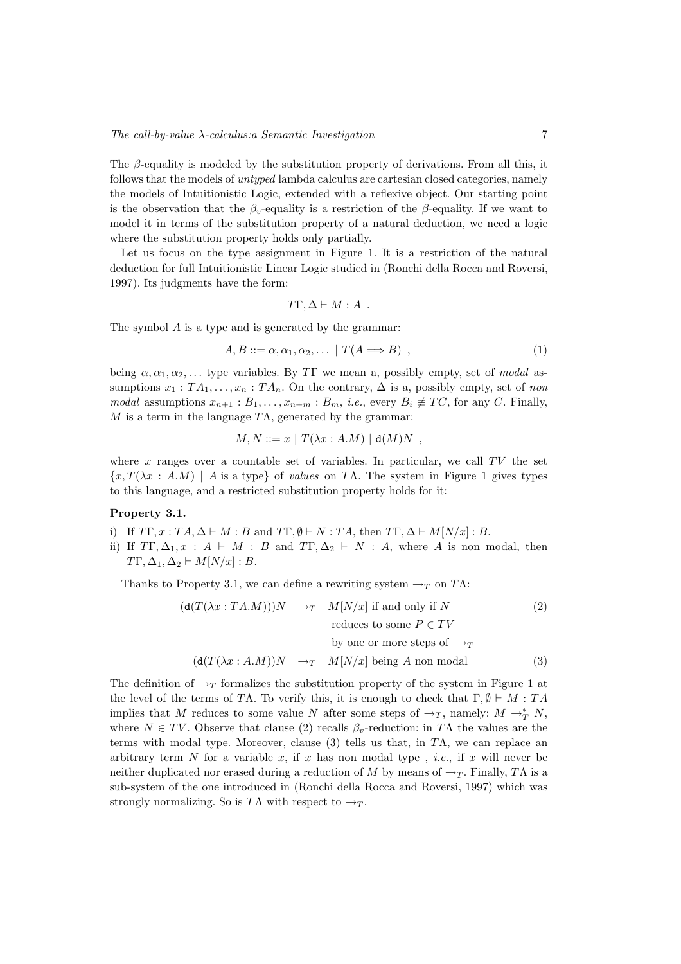The  $\beta$ -equality is modeled by the substitution property of derivations. From all this, it follows that the models of untyped lambda calculus are cartesian closed categories, namely the models of Intuitionistic Logic, extended with a reflexive object. Our starting point is the observation that the  $\beta_v$ -equality is a restriction of the  $\beta$ -equality. If we want to model it in terms of the substitution property of a natural deduction, we need a logic where the substitution property holds only partially.

Let us focus on the type assignment in Figure 1. It is a restriction of the natural deduction for full Intuitionistic Linear Logic studied in (Ronchi della Rocca and Roversi, 1997). Its judgments have the form:

$$
T\Gamma, \Delta \vdash M : A .
$$

The symbol A is a type and is generated by the grammar:

$$
A, B ::= \alpha, \alpha_1, \alpha_2, \dots \mid T(A \Longrightarrow B) \tag{1}
$$

being  $\alpha, \alpha_1, \alpha_2, \ldots$  type variables. By TT we mean a, possibly empty, set of modal assumptions  $x_1 : TA_1, \ldots, x_n : TA_n$ . On the contrary,  $\Delta$  is a, possibly empty, set of non modal assumptions  $x_{n+1} : B_1, \ldots, x_{n+m} : B_m$ , *i.e.*, every  $B_i \not\equiv TC$ , for any C. Finally, M is a term in the language  $T\Lambda$ , generated by the grammar:

$$
M, N ::= x | T(\lambda x : A.M) | d(M)N ,
$$

where x ranges over a countable set of variables. In particular, we call  $TV$  the set  ${x, T(\lambda x : A.M) \mid A \text{ is a type} \ of \ values on T\Lambda}$ . The system in Figure 1 gives types to this language, and a restricted substitution property holds for it:

# Property 3.1.

- i) If  $T\Gamma, x : TA, \Delta \vdash M : B$  and  $T\Gamma, \emptyset \vdash N : TA$ , then  $T\Gamma, \Delta \vdash M[N/x] : B$ .
- ii) If  $T\Gamma, \Delta_1, x : A \vdash M : B$  and  $T\Gamma, \Delta_2 \vdash N : A$ , where A is non modal, then  $T\Gamma, \Delta_1, \Delta_2 \vdash M[N/x] : B.$

Thanks to Property 3.1, we can define a rewriting system  $\rightarrow_T$  on T $\Lambda$ :

$$
(\text{d}(T(\lambda x:TA.M)))N \rightarrow_T M[N/x] \text{ if and only if } N
$$
(2)  
reduces to some  $P \in TV$   
by one or more steps of  $\rightarrow_T$   

$$
(\text{d}(T(\lambda x:A.M))N \rightarrow_T M[N/x] \text{ being } A \text{ non modal}
$$
(3)

The definition of  $\rightarrow_T$  formalizes the substitution property of the system in Figure 1 at the level of the terms of TΛ. To verify this, it is enough to check that  $\Gamma, \emptyset \vdash M : TA$ implies that M reduces to some value N after some steps of  $\rightarrow_T$ , namely:  $M \rightarrow_T^* N$ , where  $N \in TV$ . Observe that clause (2) recalls  $\beta_v$ -reduction: in TA the values are the terms with modal type. Moreover, clause (3) tells us that, in T $\Lambda$ , we can replace an arbitrary term N for a variable x, if x has non modal type, *i.e.*, if x will never be neither duplicated nor erased during a reduction of M by means of  $\rightarrow_T$ . Finally, TA is a sub-system of the one introduced in (Ronchi della Rocca and Roversi, 1997) which was strongly normalizing. So is TA with respect to  $\rightarrow_T$ .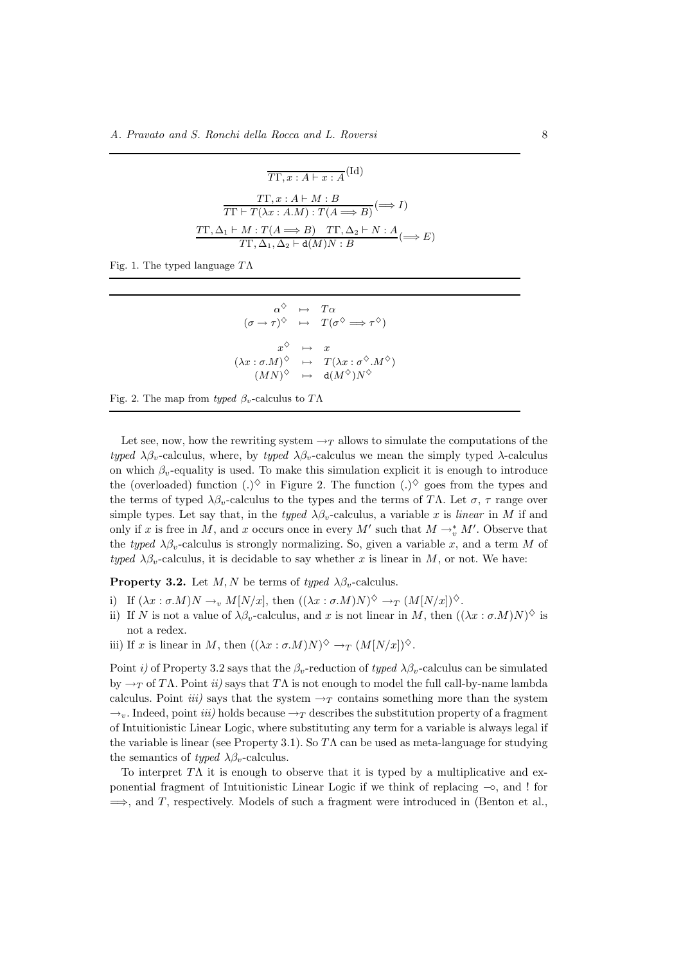$$
\overline{TT}, x : A \vdash x : A^{\text{(Id)}}
$$
\n
$$
\overline{TT \vdash T} \land x : A \vdash M : B
$$
\n
$$
\overline{TT \vdash T} \land x : A.M) : T(A \implies B) \quad \text{(ii)} \land \text{(iii)} \quad \text{(iv)} \quad \text{(iv)} \quad \text{(iv)} \quad \text{(iv)} \quad \text{(iv)} \quad \text{(iv)} \quad \text{(iv)} \quad \text{(iv)} \quad \text{(iv)} \quad \text{(v)} \quad \text{(v)} \quad \text{(v)} \quad \text{(v)} \quad \text{(v)} \quad \text{(v)} \quad \text{(v)} \quad \text{(v)} \quad \text{(v)} \quad \text{(v)} \quad \text{(v)} \quad \text{(v)} \quad \text{(v)} \quad \text{(v)} \quad \text{(v)} \quad \text{(v)} \quad \text{(v)} \quad \text{(v)} \quad \text{(v)} \quad \text{(v)} \quad \text{(v)} \quad \text{(v)} \quad \text{(v)} \quad \text{(v)} \quad \text{(v)} \quad \text{(v)} \quad \text{(v)} \quad \text{(v)} \quad \text{(v)} \quad \text{(v)} \quad \text{(v)} \quad \text{(v)} \quad \text{(v)} \quad \text{(v)} \quad \text{(v)} \quad \text{(v)} \quad \text{(v)} \quad \text{(v)} \quad \text{(v)} \quad \text{(v)} \quad \text{(v)} \quad \text{(v)} \quad \text{(v)} \quad \text{(v)} \quad \text{(v)} \quad \text{(v)} \quad \text{(v)} \quad \text{(v)} \quad \text{(v)} \quad \text{(v)} \quad \text{(v)} \quad \text{(v)} \quad \text{(v)} \quad \text{(v)} \quad \text{(v)} \quad \text{(v)} \quad \text{(v)} \quad \text{(v)} \quad \text{(v)} \quad \text{(v)} \quad \text{(v)} \quad \text{(v)} \quad \text{(v)} \quad \text{(v)} \quad \text{(v)} \quad \text{(v)} \quad \text{(v)} \quad \text{(v)} \quad \text{(v)} \quad \text{(v)} \quad \text{(v)} \quad \text{(v)} \quad \text{(v)} \quad \text{(v)} \quad \text{(v)} \quad \text{(v)} \quad \text{(v)} \quad \text{(v)} \quad \text{(v)} \quad \text{(v)} \quad \text{(v)} \quad \text{(v)} \quad \text{(v)} \quad \text{(v)} \quad \text{(v)} \quad \
$$

Fig. 1. The typed language  $T\Lambda$ 

 $\alpha^{\diamondsuit} \rightarrow T\alpha$  $(\sigma \to \tau)^{\diamondsuit} \quad \mapsto \quad T(\sigma^{\diamondsuit} \Longrightarrow \tau^{\diamondsuit})$  $x^{\diamondsuit} \rightarrow x$  $(\lambda x : \sigma.M)$  $\Diamond \mapsto T(\lambda x : \sigma^{\Diamond}.M^{\Diamond})$  $(MN)$  $^\diamondsuit \quad \mapsto \quad \mathtt{d}(M^\diamondsuit)N$ ♦

Fig. 2. The map from typed  $\beta_v$ -calculus to TA

Let see, now, how the rewriting system  $\rightarrow_T$  allows to simulate the computations of the typed  $\lambda \beta_v$ -calculus, where, by typed  $\lambda \beta_v$ -calculus we mean the simply typed  $\lambda$ -calculus on which  $\beta_v$ -equality is used. To make this simulation explicit it is enough to introduce the (overloaded) function  $(.)^{\diamondsuit}$  in Figure 2. The function  $(.)^{\diamondsuit}$  goes from the types and the terms of typed  $\lambda \beta_v$ -calculus to the types and the terms of TΛ. Let  $\sigma$ ,  $\tau$  range over simple types. Let say that, in the typed  $\lambda \beta_v$ -calculus, a variable x is linear in M if and only if x is free in M, and x occurs once in every M' such that  $M \to_{v}^* M'$ . Observe that the typed  $\lambda \beta_v$ -calculus is strongly normalizing. So, given a variable x, and a term M of typed  $\lambda \beta_n$ -calculus, it is decidable to say whether x is linear in M, or not. We have:

**Property 3.2.** Let  $M, N$  be terms of typed  $\lambda \beta_v$ -calculus.

- i) If  $(\lambda x : \sigma.M)N \to_v M[N/x]$ , then  $((\lambda x : \sigma.M)N)^{\diamondsuit} \to_T (M[N/x])^{\diamondsuit}$ .
- ii) If N is not a value of  $\lambda\beta_v$ -calculus, and x is not linear in M, then  $((\lambda x : \sigma.M)N)^{\diamondsuit}$  is not a redex.
- iii) If x is linear in M, then  $((\lambda x : \sigma.M)N)^{\diamondsuit} \to_T (M[N/x])^{\diamondsuit}$ .

Point i) of Property 3.2 says that the  $\beta_v$ -reduction of typed  $\lambda \beta_v$ -calculus can be simulated by  $\rightarrow_T$  of T $\Lambda$ . Point ii) says that T $\Lambda$  is not enough to model the full call-by-name lambda calculus. Point *iii*) says that the system  $\rightarrow_T$  contains something more than the system  $\rightarrow$ <sub>n</sub>. Indeed, point *iii*) holds because  $\rightarrow$ <sub>T</sub> describes the substitution property of a fragment of Intuitionistic Linear Logic, where substituting any term for a variable is always legal if the variable is linear (see Property 3.1). So  $T\Lambda$  can be used as meta-language for studying the semantics of typed  $\lambda \beta_v$ -calculus.

To interpret  $T\Lambda$  it is enough to observe that it is typed by a multiplicative and exponential fragment of Intuitionistic Linear Logic if we think of replacing −◦, and ! for  $\implies$ , and T, respectively. Models of such a fragment were introduced in (Benton et al.,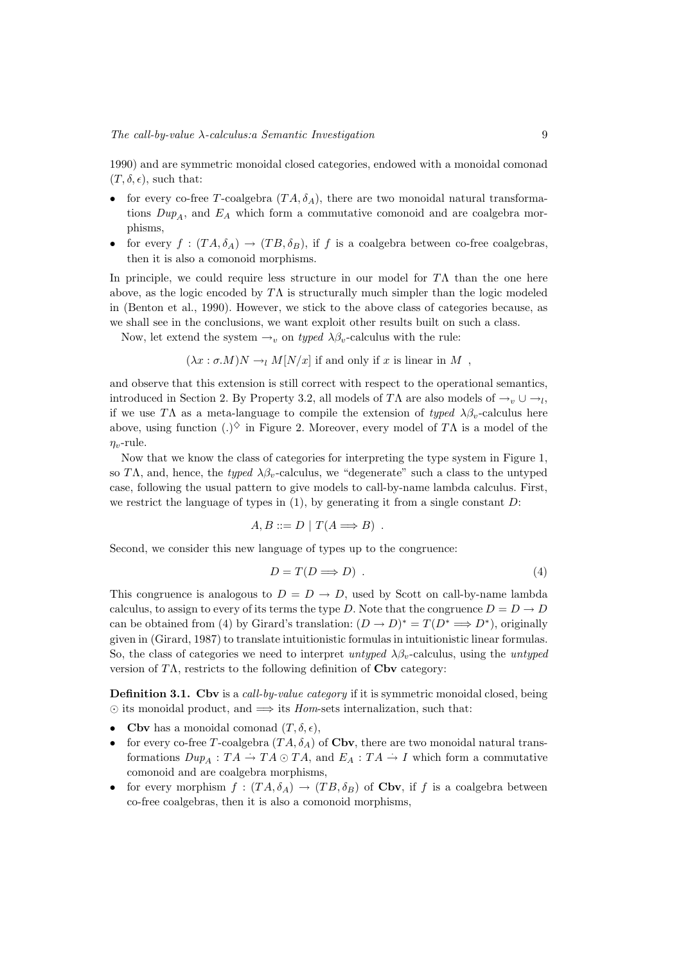1990) and are symmetric monoidal closed categories, endowed with a monoidal comonad  $(T, \delta, \epsilon)$ , such that:

- for every co-free T-coalgebra  $(TA, \delta_A)$ , there are two monoidal natural transformations  $Dup_A$ , and  $E_A$  which form a commutative comonoid and are coalgebra morphisms,
- for every  $f : (TA, \delta_A) \to (TB, \delta_B)$ , if f is a coalgebra between co-free coalgebras, then it is also a comonoid morphisms.

In principle, we could require less structure in our model for  $T\Lambda$  than the one here above, as the logic encoded by  $T\Lambda$  is structurally much simpler than the logic modeled in (Benton et al., 1990). However, we stick to the above class of categories because, as we shall see in the conclusions, we want exploit other results built on such a class.

Now, let extend the system  $\rightarrow_v$  on typed  $\lambda \beta_v$ -calculus with the rule:

$$
(\lambda x : \sigma.M)N \to_l M[N/x]
$$
 if and only if x is linear in M,

and observe that this extension is still correct with respect to the operational semantics, introduced in Section 2. By Property 3.2, all models of TΛ are also models of  $\rightarrow_v \cup \rightarrow_l$ , if we use TΛ as a meta-language to compile the extension of typed  $\lambda \beta_v$ -calculus here above, using function (.)<sup> $\diamond$ </sup> in Figure 2. Moreover, every model of TA is a model of the  $\eta_v$ -rule.

Now that we know the class of categories for interpreting the type system in Figure 1, so TΛ, and, hence, the typed  $\lambda \beta_v$ -calculus, we "degenerate" such a class to the untyped case, following the usual pattern to give models to call-by-name lambda calculus. First, we restrict the language of types in  $(1)$ , by generating it from a single constant  $D$ :

$$
A, B ::= D | T(A \Longrightarrow B) .
$$

Second, we consider this new language of types up to the congruence:

$$
D = T(D \Longrightarrow D) \tag{4}
$$

This congruence is analogous to  $D = D \rightarrow D$ , used by Scott on call-by-name lambda calculus, to assign to every of its terms the type D. Note that the congruence  $D = D \rightarrow D$ can be obtained from (4) by Girard's translation:  $(D \to D)^* = T(D^* \Longrightarrow D^*)$ , originally given in (Girard, 1987) to translate intuitionistic formulas in intuitionistic linear formulas. So, the class of categories we need to interpret untyped  $\lambda \beta_v$ -calculus, using the untyped version of  $T\Lambda$ , restricts to the following definition of  $C$ bv category:

Definition 3.1. Cbv is a call-by-value category if it is symmetric monoidal closed, being  $\odot$  its monoidal product, and  $\implies$  its Hom-sets internalization, such that:

- Cbv has a monoidal comonad  $(T, \delta, \epsilon)$ ,
- for every co-free T-coalgebra  $(TA, \delta_A)$  of Cbv, there are two monoidal natural transformations  $Dup_A : TA \to TA \odot TA$ , and  $E_A : TA \to I$  which form a commutative comonoid and are coalgebra morphisms,
- for every morphism  $f : (TA, \delta_A) \to (TB, \delta_B)$  of Cbv, if f is a coalgebra between co-free coalgebras, then it is also a comonoid morphisms,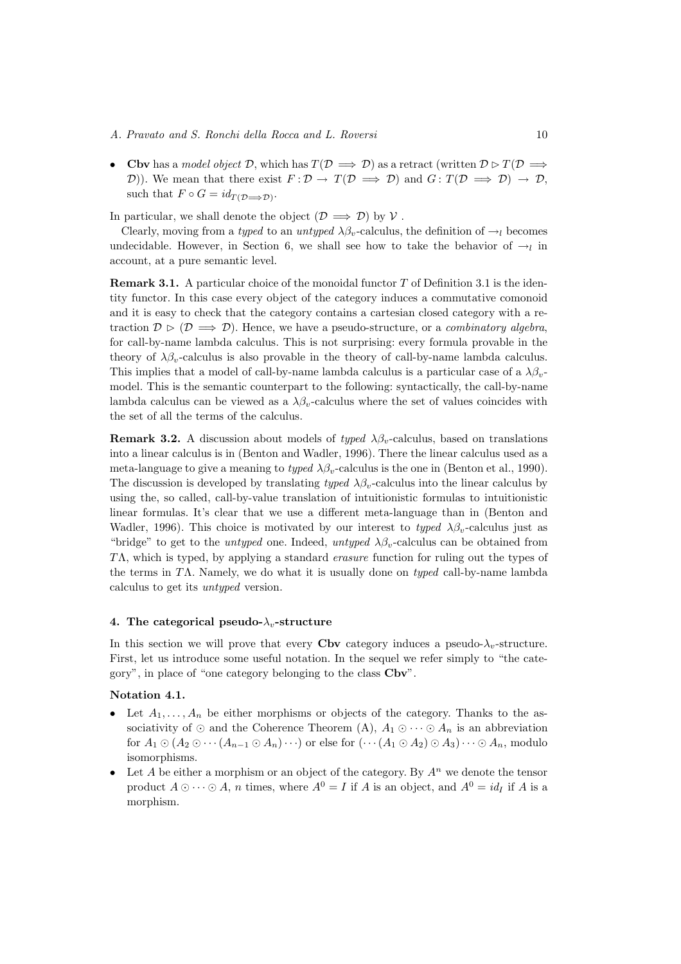• Cbv has a model object D, which has  $T(D \implies D)$  as a retract (written  $D \triangleright T(D \implies D)$ D)). We mean that there exist  $F: \mathcal{D} \to T(\mathcal{D} \implies \mathcal{D})$  and  $G: T(\mathcal{D} \implies \mathcal{D}) \to \mathcal{D}$ , such that  $F \circ G = id_{T(\mathcal{D} \Longrightarrow \mathcal{D})}$ .

In particular, we shall denote the object  $(\mathcal{D} \implies \mathcal{D})$  by  $\mathcal{V}$ .

Clearly, moving from a typed to an untyped  $\lambda \beta_v$ -calculus, the definition of  $\rightarrow_l$  becomes undecidable. However, in Section 6, we shall see how to take the behavior of  $\rightarrow_l$  in account, at a pure semantic level.

**Remark 3.1.** A particular choice of the monoidal functor  $T$  of Definition 3.1 is the identity functor. In this case every object of the category induces a commutative comonoid and it is easy to check that the category contains a cartesian closed category with a retraction  $\mathcal{D} \triangleright (\mathcal{D} \Longrightarrow \mathcal{D})$ . Hence, we have a pseudo-structure, or a *combinatory algebra*, for call-by-name lambda calculus. This is not surprising: every formula provable in the theory of  $\lambda \beta_n$ -calculus is also provable in the theory of call-by-name lambda calculus. This implies that a model of call-by-name lambda calculus is a particular case of a  $\lambda \beta_{\nu}$ model. This is the semantic counterpart to the following: syntactically, the call-by-name lambda calculus can be viewed as a  $\lambda \beta_v$ -calculus where the set of values coincides with the set of all the terms of the calculus.

**Remark 3.2.** A discussion about models of typed  $\lambda \beta_v$ -calculus, based on translations into a linear calculus is in (Benton and Wadler, 1996). There the linear calculus used as a meta-language to give a meaning to typed  $\lambda \beta_v$ -calculus is the one in (Benton et al., 1990). The discussion is developed by translating typed  $\lambda \beta_v$ -calculus into the linear calculus by using the, so called, call-by-value translation of intuitionistic formulas to intuitionistic linear formulas. It's clear that we use a different meta-language than in (Benton and Wadler, 1996). This choice is motivated by our interest to typed  $\lambda \beta_v$ -calculus just as "bridge" to get to the *untyped* one. Indeed, *untyped*  $\lambda \beta_v$ -calculus can be obtained from TΛ, which is typed, by applying a standard erasure function for ruling out the types of the terms in TΛ. Namely, we do what it is usually done on *typed* call-by-name lambda calculus to get its untyped version.

#### 4. The categorical pseudo- $\lambda_v$ -structure

In this section we will prove that every Cbv category induces a pseudo- $\lambda_v$ -structure. First, let us introduce some useful notation. In the sequel we refer simply to "the category", in place of "one category belonging to the class Cbv".

# Notation 4.1.

- Let  $A_1, \ldots, A_n$  be either morphisms or objects of the category. Thanks to the associativity of  $\odot$  and the Coherence Theorem (A),  $A_1 \odot \cdots \odot A_n$  is an abbreviation for  $A_1 \odot (A_2 \odot \cdots (A_{n-1} \odot A_n) \cdots)$  or else for  $(\cdots (A_1 \odot A_2) \odot A_3) \cdots \odot A_n$ , modulo isomorphisms.
- Let A be either a morphism or an object of the category. By  $A^n$  we denote the tensor product  $A \odot \cdots \odot A$ , *n* times, where  $A^0 = I$  if A is an object, and  $A^0 = id_I$  if A is a morphism.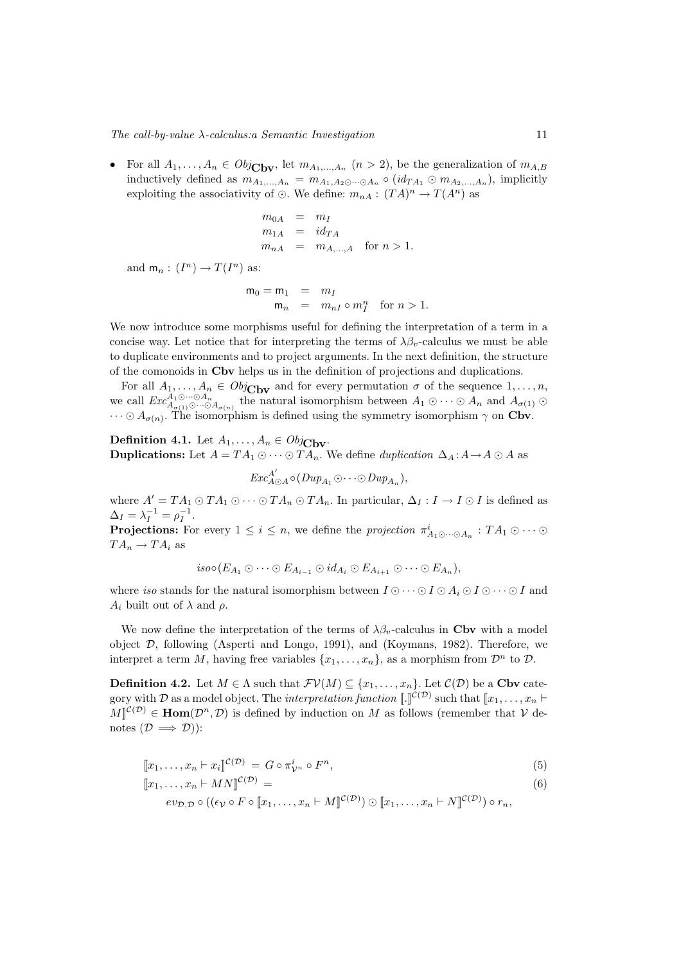• For all  $A_1, \ldots, A_n \in Obj_{\mathbf{Cbv}}$ , let  $m_{A_1, \ldots, A_n}$   $(n > 2)$ , be the generalization of  $m_{A,B}$ inductively defined as  $m_{A_1,...,A_n} = m_{A_1,A_2\odot\cdots\odot A_n} \circ (id_{TA_1} \odot m_{A_2,...,A_n}),$  implicitly exploiting the associativity of  $\odot$ . We define:  $m_{nA} : (TA)^n \to T(A^n)$  as

$$
m_{0A} = m_I
$$
  
\n
$$
m_{1A} = id_{TA}
$$
  
\n
$$
m_{nA} = m_{A,\dots,A} \text{ for } n > 1.
$$

and  $m_n: (I^n) \to T(I^n)$  as:

$$
\begin{array}{rcl}\nm_0 = m_1 & = & m_I \\
m_n & = & m_{nI} \circ m_I^n \quad \text{for } n > 1.\n\end{array}
$$

We now introduce some morphisms useful for defining the interpretation of a term in a concise way. Let notice that for interpreting the terms of  $\lambda \beta_v$ -calculus we must be able to duplicate environments and to project arguments. In the next definition, the structure of the comonoids in Cbv helps us in the definition of projections and duplications.

For all  $A_1, \ldots, A_n \in Obj_{\text{Cbv}}$  and for every permutation  $\sigma$  of the sequence  $1, \ldots, n$ , we call  $Exc_{A_{\sigma(1)}\odot\cdots\odot A_{\sigma(n)}}^{A_1\odot\cdots\odot A_n}$  the natural isomorphism between  $A_1\odot\cdots\odot A_n$  and  $A_{\sigma(1)}\odot$  $\cdots \odot A_{\sigma(n)}$ . The isomorphism is defined using the symmetry isomorphism  $\gamma$  on Cbv.

**Definition 4.1.** Let  $A_1, \ldots, A_n \in Obj_{\text{Cbv}}$ . **Duplications:** Let  $A = TA_1 \odot \cdots \odot TA_n$ . We define *duplication*  $\Delta_A : A \rightarrow A \odot A$  as

 $Exc_{A\odot A}^{A'} \circ (Dup_{A_1} \odot \cdots \odot Dup_{A_n}),$ 

where  $A' = TA_1 \odot TA_1 \odot \cdots \odot TA_n \odot TA_n$ . In particular,  $\Delta_I : I \to I \odot I$  is defined as  $\Delta_I = \lambda_I^{-1} = \rho_I^{-1}.$ 

**Projections:** For every  $1 \leq i \leq n$ , we define the projection  $\pi_{A_1 \odot \cdots \odot A_n}^i : TA_1 \odot \cdots \odot$  $TA_n \to TA_i$  as

$$
iso \circ (E_{A_1} \odot \cdots \odot E_{A_{i-1}} \odot id_{A_i} \odot E_{A_{i+1}} \odot \cdots \odot E_{A_n}),
$$

where iso stands for the natural isomorphism between  $I \odot \cdots \odot I \odot A_i \odot I \odot \cdots \odot I$  and  $A_i$  built out of  $\lambda$  and  $\rho$ .

We now define the interpretation of the terms of  $\lambda \beta_v$ -calculus in Cbv with a model object D, following (Asperti and Longo, 1991), and (Koymans, 1982). Therefore, we interpret a term M, having free variables  $\{x_1, \ldots, x_n\}$ , as a morphism from  $\mathcal{D}^n$  to  $\mathcal{D}$ .

**Definition 4.2.** Let  $M \in \Lambda$  such that  $\mathcal{FV}(M) \subseteq \{x_1, \ldots, x_n\}$ . Let  $\mathcal{C}(\mathcal{D})$  be a Cbv category with D as a model object. The *interpretation function*  $[\![ . ]\!]^{\mathcal{C}(\mathcal{D})}$  such that  $[\![x_1, \ldots, x_n \vdash$  $M\vert\mathcal{C}(\mathcal{D})\in \text{Hom}(\mathcal{D}^n,\mathcal{D})$  is defined by induction on M as follows (remember that V denotes  $(\mathcal{D} \implies \mathcal{D})$ :

$$
[x_1, \ldots, x_n \vdash x_i]^{C(\mathcal{D})} = G \circ \pi_{\mathcal{V}^n}^i \circ F^n,
$$
\n
$$
(5)
$$

$$
[\![x_1, \ldots, x_n \vdash MN]\!]^{\mathcal{C}(\mathcal{D})} = \tag{6}
$$

$$
ev_{\mathcal{D},\mathcal{D}} \circ ((\epsilon_{\mathcal{V}} \circ F \circ [x_1,\ldots,x_n \vdash M]^{\mathcal{C}(\mathcal{D})}) \odot [x_1,\ldots,x_n \vdash N]^{\mathcal{C}(\mathcal{D})}) \circ r_n,
$$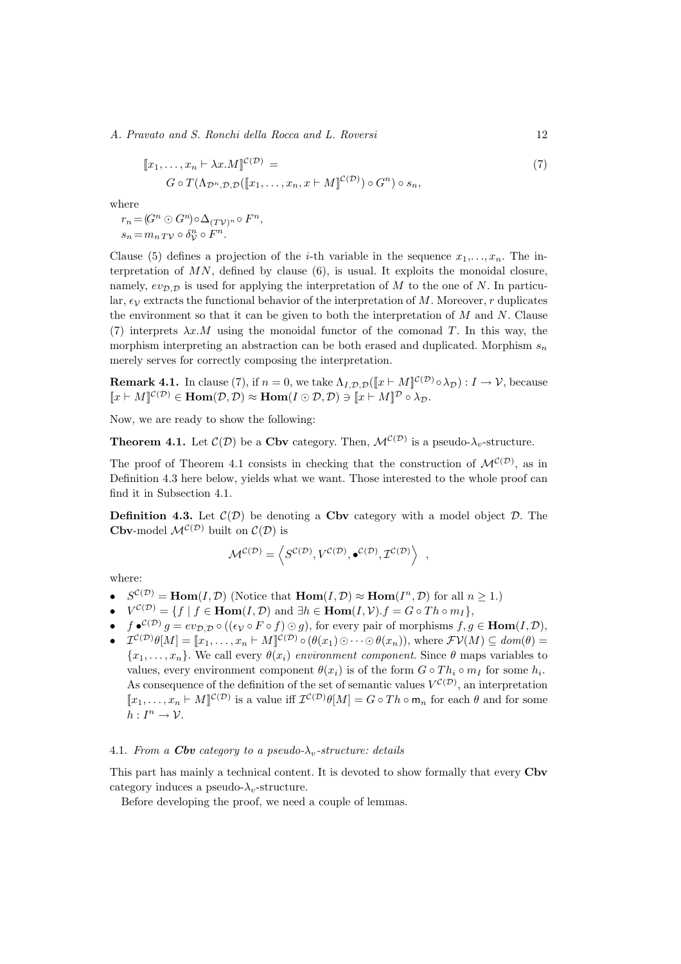A. Pravato and S. Ronchi della Rocca and L. Roversi 12

$$
[x_1, \dots, x_n \vdash \lambda x.M]^{\mathcal{C}(\mathcal{D})} =
$$
  
\n
$$
G \circ T(\Lambda_{\mathcal{D}^n, \mathcal{D}, \mathcal{D}}([x_1, \dots, x_n, x \vdash M]^{\mathcal{C}(\mathcal{D})}) \circ G^n) \circ s_n,
$$
\n
$$
(7)
$$

where

 $r_n = (G^n \odot G^n) \circ \Delta_{(T\mathcal{V})^n} \circ F^n,$  $s_n = m_n T \mathcal{V} \circ \delta_{\mathcal{V}}^n \circ F^n.$ 

Clause (5) defines a projection of the *i*-th variable in the sequence  $x_1, \ldots, x_n$ . The interpretation of  $MN$ , defined by clause (6), is usual. It exploits the monoidal closure, namely,  $ev_{\mathcal{D},\mathcal{D}}$  is used for applying the interpretation of M to the one of N. In particular,  $\epsilon_V$  extracts the functional behavior of the interpretation of M. Moreover, r duplicates the environment so that it can be given to both the interpretation of  $M$  and  $N$ . Clause (7) interprets  $\lambda x.M$  using the monoidal functor of the comonad T. In this way, the morphism interpreting an abstraction can be both erased and duplicated. Morphism  $s_n$ merely serves for correctly composing the interpretation.

**Remark 4.1.** In clause (7), if  $n = 0$ , we take  $\Lambda_{I, \mathcal{D}, \mathcal{D}}([\![x \vdash M]\!]^{\mathcal{C}(\mathcal{D})} \circ \lambda_{\mathcal{D}}) : I \to \mathcal{V}$ , because  $[x \vdash M]^{\mathcal{C}(\mathcal{D})} \in \text{Hom}(\mathcal{D}, \mathcal{D}) \approx \text{Hom}(I \odot \mathcal{D}, \mathcal{D}) \ni [x \vdash M]^{\mathcal{D}} \circ \lambda_{\mathcal{D}}.$ 

Now, we are ready to show the following:

**Theorem 4.1.** Let  $\mathcal{C}(\mathcal{D})$  be a Cbv category. Then,  $\mathcal{M}^{\mathcal{C}(\mathcal{D})}$  is a pseudo- $\lambda_v$ -structure.

The proof of Theorem 4.1 consists in checking that the construction of  $\mathcal{M}^{\mathcal{C}(\mathcal{D})}$ , as in Definition 4.3 here below, yields what we want. Those interested to the whole proof can find it in Subsection 4.1.

**Definition 4.3.** Let  $\mathcal{C}(\mathcal{D})$  be denoting a Cbv category with a model object  $\mathcal{D}$ . The Cbv-model  $\mathcal{M}^{\mathcal{C}(\mathcal{D})}$  built on  $\mathcal{C}(\mathcal{D})$  is

$$
\mathcal{M}^{\mathcal{C}(\mathcal{D})} = \left\langle S^{\mathcal{C}(\mathcal{D})}, V^{\mathcal{C}(\mathcal{D})}, \bullet^{\mathcal{C}(\mathcal{D})}, \mathcal{I}^{\mathcal{C}(\mathcal{D})} \right\rangle ,
$$

where:

- $S^{C(D)} = \text{Hom}(I, \mathcal{D})$  (Notice that  $\text{Hom}(I, \mathcal{D}) \approx \text{Hom}(I^n, \mathcal{D})$  for all  $n \geq 1$ .)
- $V^{C(D)} = \{f \mid f \in \text{Hom}(I, \mathcal{D}) \text{ and } \exists h \in \text{Hom}(I, \mathcal{V}). f = G \circ Th \circ m_I \},\$
- $f \cdot C^{(\mathcal{D})} g = ev_{\mathcal{D}, \mathcal{D}} \circ ((\epsilon_{\mathcal{V}} \circ F \circ f) \odot g),$  for every pair of morphisms  $f, g \in \text{Hom}(I, \mathcal{D}),$
- $\mathcal{I}^{C(\mathcal{D})}\theta[M] = [\![x_1,\ldots,x_n \vdash M]\!]^{C(\mathcal{D})} \circ (\theta(x_1)\odot \cdots \odot \theta(x_n)),$  where  $\mathcal{F}V(M) \subseteq \text{dom}(\theta) =$  ${x_1, \ldots, x_n}$ . We call every  $\theta(x_i)$  environment component. Since  $\theta$  maps variables to values, every environment component  $\theta(x_i)$  is of the form  $G \circ Th_i \circ m_I$  for some  $h_i$ . As consequence of the definition of the set of semantic values  $V^{(\mathcal{D})}$ , an interpretation  $[x_1,\ldots,x_n \vdash M]^{\mathcal{C}(\mathcal{D})}$  is a value iff  $\mathcal{I}^{\mathcal{C}(\mathcal{D})}\theta[M] = G \circ Th \circ \mathsf{m}_n$  for each  $\theta$  and for some  $h: I^n \to \mathcal{V}.$

#### 4.1. From a **Cbv** category to a pseudo- $\lambda_v$ -structure: details

This part has mainly a technical content. It is devoted to show formally that every Cbv category induces a pseudo- $\lambda_v$ -structure.

Before developing the proof, we need a couple of lemmas.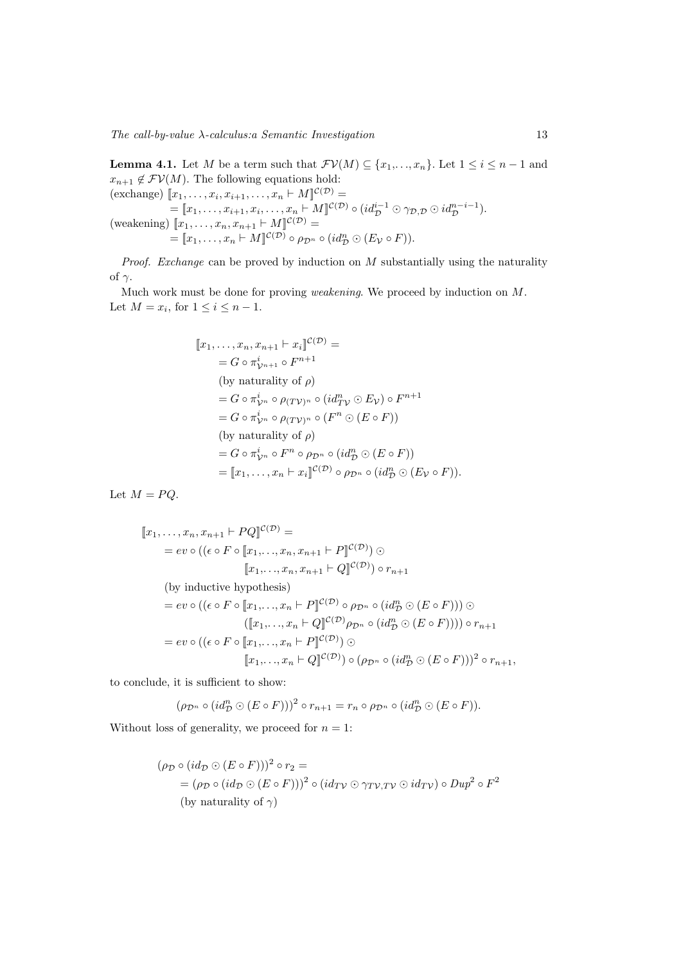$The \, call-by-value \, \lambda\text{-}calculus: a \, Semantic \, Investigation \qquad \qquad 13$ 

**Lemma 4.1.** Let M be a term such that  $\mathcal{FV}(M) \subseteq \{x_1, \ldots, x_n\}$ . Let  $1 \leq i \leq n-1$  and  $x_{n+1} \notin \mathcal{FV}(M)$ . The following equations hold: (exchange)  $\llbracket x_1, \ldots, x_i, x_{i+1}, \ldots, x_n \vdash M \rrbracket^{\mathcal{C}(\mathcal{D})} =$  $=[\![x_1,\ldots,x_{i+1},x_i,\ldots,x_n\vdash M]\!]^{\mathcal{C}(\mathcal{D})}\circ(id_{\mathcal{D}}^{i-1}\odot\gamma_{\mathcal{D},\mathcal{D}}\odot id_{\mathcal{D}}^{n-i-1}).$ (weakening)  $[x_1, \ldots, x_n, x_{n+1} \vdash M]^{\mathcal{C}(\mathcal{D})} =$  $=[\![x_1,\ldots,x_n\vdash M]\!]^{\mathcal{C}(\mathcal{D})}\circ\rho_{\mathcal{D}^n}\circ(id_{\mathcal{D}}^n\odot(E_{\mathcal{V}}\circ F)).$ 

*Proof.* Exchange can be proved by induction on  $M$  substantially using the naturality of  $\gamma$ .

Much work must be done for proving weakening. We proceed by induction on M. Let  $M = x_i$ , for  $1 \leq i \leq n-1$ .

$$
[x_1, ..., x_n, x_{n+1} \vdash x_i]^{C(\mathcal{D})} =
$$
  
\n
$$
= G \circ \pi_{\mathcal{V}^{n+1}}^{i} \circ F^{n+1}
$$
  
\n(by naturality of  $\rho$ )  
\n
$$
= G \circ \pi_{\mathcal{V}^n}^{i} \circ \rho_{(T\mathcal{V})^n} \circ (id_{T\mathcal{V}}^n \circ E_{\mathcal{V}}) \circ F^{n+1}
$$
  
\n
$$
= G \circ \pi_{\mathcal{V}^n}^{i} \circ \rho_{(T\mathcal{V})^n} \circ (F^n \circ (E \circ F))
$$
  
\n(by naturality of  $\rho$ )  
\n
$$
= G \circ \pi_{\mathcal{V}^n}^{i} \circ F^n \circ \rho_{\mathcal{D}^n} \circ (id_{\mathcal{D}}^n \circ (E \circ F))
$$
  
\n
$$
= [x_1, ..., x_n \vdash x_i]^{C(\mathcal{D})} \circ \rho_{\mathcal{D}^n} \circ (id_{\mathcal{D}}^n \circ (E_{\mathcal{V}} \circ F)).
$$

Let  $M = PQ$ .

$$
[x_1, \ldots, x_n, x_{n+1} \vdash PQ]^{\mathcal{C}(\mathcal{D})} =
$$
  
\n
$$
= ev \circ ((\epsilon \circ F \circ [x_1, \ldots, x_n, x_{n+1} \vdash P]^{\mathcal{C}(\mathcal{D})}) \odot
$$
  
\n
$$
[x_1, \ldots, x_n, x_{n+1} \vdash Q]^{\mathcal{C}(\mathcal{D})}) \circ r_{n+1}
$$
  
\n(by inductive hypothesis)  
\n
$$
= ev \circ ((\epsilon \circ F \circ [x_1, \ldots, x_n \vdash P]^{\mathcal{C}(\mathcal{D})} \circ \rho_{\mathcal{D}^n} \circ (id_{\mathcal{D}}^n \odot (E \circ F))) \odot
$$
  
\n
$$
([x_1, \ldots, x_n \vdash Q]^{\mathcal{C}(\mathcal{D})} \rho_{\mathcal{D}^n} \circ (id_{\mathcal{D}}^n \odot (E \circ F)))) \circ r_{n+1}
$$
  
\n
$$
= ev \circ ((\epsilon \circ F \circ [x_1, \ldots, x_n \vdash P]^{\mathcal{C}(\mathcal{D})}) \odot
$$
  
\n
$$
[x_1, \ldots, x_n \vdash Q]^{\mathcal{C}(\mathcal{D})}) \circ (\rho_{\mathcal{D}^n} \circ (id_{\mathcal{D}}^n \odot (E \circ F)))^2 \circ r_{n+1},
$$

to conclude, it is sufficient to show:

$$
(\rho_{\mathcal{D}^n} \circ (id_{\mathcal{D}}^n \odot (E \circ F)))^2 \circ r_{n+1} = r_n \circ \rho_{\mathcal{D}^n} \circ (id_{\mathcal{D}}^n \odot (E \circ F)).
$$

Without loss of generality, we proceed for  $n = 1$ :

$$
(\rho_{\mathcal{D}} \circ (id_{\mathcal{D}} \odot (E \circ F)))^2 \circ r_2 =
$$
  
=  $(\rho_{\mathcal{D}} \circ (id_{\mathcal{D}} \odot (E \circ F)))^2 \circ (id_{TV} \odot \gamma_{TV,TV} \odot id_{TV}) \circ Dup^2 \circ F^2$   
(by naturality of  $\gamma$ )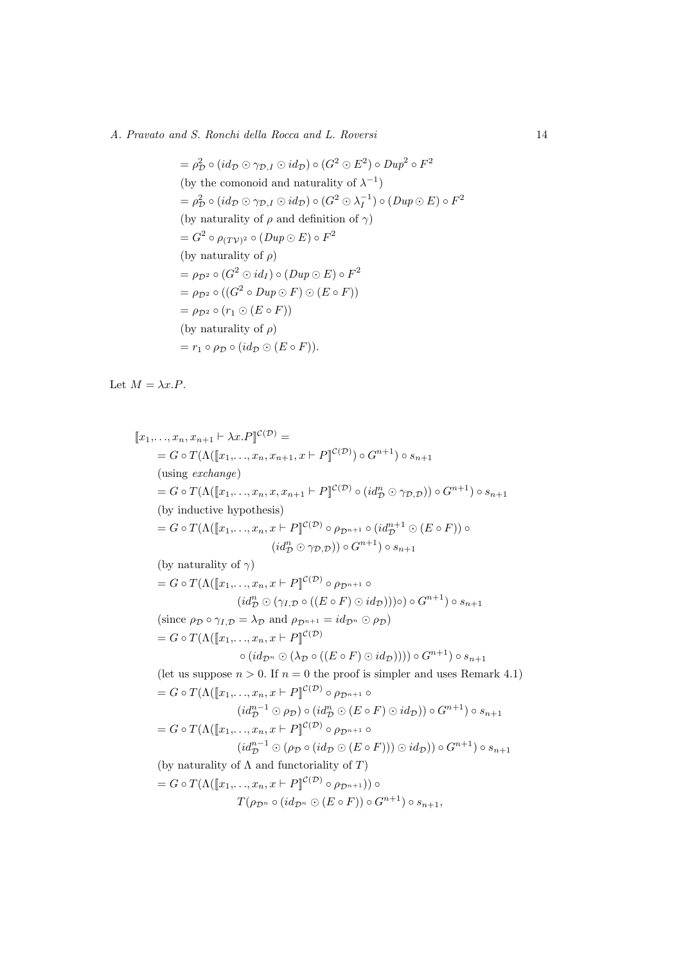# A. Pravato and S. Ronchi della Rocca and L. Roversi 14

$$
= \rho_D^2 \circ (id_{\mathcal{D}} \odot \gamma_{\mathcal{D},I} \odot id_{\mathcal{D}}) \circ (G^2 \odot E^2) \circ Dup^2 \circ F^2
$$
  
\n(by the comonoid and naturality of  $\lambda^{-1}$ )  
\n
$$
= \rho_D^2 \circ (id_{\mathcal{D}} \odot \gamma_{\mathcal{D},I} \odot id_{\mathcal{D}}) \circ (G^2 \odot \lambda_I^{-1}) \circ (Dup \odot E) \circ F^2
$$
  
\n(by naturality of  $\rho$  and definition of  $\gamma$ )  
\n
$$
= G^2 \circ \rho_{(TV)^2} \circ (Dup \odot E) \circ F^2
$$
  
\n(by naturality of  $\rho$ )  
\n
$$
= \rho_{\mathcal{D}^2} \circ (G^2 \odot id_I) \circ (Dup \odot E) \circ F^2
$$
  
\n
$$
= \rho_{\mathcal{D}^2} \circ ((G^2 \circ Dup \odot F) \odot (E \circ F))
$$
  
\n
$$
= \rho_{\mathcal{D}^2} \circ (r_1 \odot (E \circ F))
$$
  
\n(by naturality of  $\rho$ )  
\n
$$
= r_1 \circ \rho_{\mathcal{D}} \circ (id_{\mathcal{D}} \odot (E \circ F)).
$$

Let  $M = \lambda x.P$ .

$$
[x_1,...,x_n, x_{n+1} \vdash \lambda x.P]^{\mathcal{C}(D)} =
$$
\n
$$
= G \circ T(\Lambda([x_1,...,x_n, x_{n+1}, x \vdash P]^{\mathcal{C}(D)}) \circ G^{n+1}) \circ s_{n+1}
$$
\n(using exchange)

\n
$$
= G \circ T(\Lambda([x_1,...,x_n, x, x_{n+1} \vdash P]^{\mathcal{C}(D)}) \circ (id^n_D \odot \gamma_{D,D})) \circ G^{n+1}) \circ s_{n+1}
$$
\n(by inductive hypothesis)

\n
$$
= G \circ T(\Lambda([x_1,...,x_n, x \vdash P]^{\mathcal{C}(D)}) \circ \rho_{D^{n+1}} \circ (id^{n+1}_D \odot (E \circ F)) \circ (id^n_D \odot \gamma_{D,D})) \circ G^{n+1}) \circ s_{n+1}
$$
\n(by naturality of  $\gamma$ )

\n
$$
= G \circ T(\Lambda([x_1,...,x_n, x \vdash P]^{\mathcal{C}(D)} \circ \rho_{D^{n+1}} \circ (id^{n+1}_D \odot (E \circ F)) \circ s_{n+1})
$$
\n(since  $\rho_D \circ \gamma_{I,D} = \lambda_D$  and  $\rho_{D^{n+1}} = id_{D^n} \odot \rho_D)$ 

\n
$$
= G \circ T(\Lambda([x_1,...,x_n, x \vdash P]^{\mathcal{C}(D)}) \circ (id_{D^n} \odot (E \circ F) \odot id_D)))) \circ G^{n+1}) \circ s_{n+1}
$$
\n(let us suppose  $n > 0$ . If  $n = 0$  the proof is simpler and uses Remark 4.1)

\n
$$
= G \circ T(\Lambda([x_1,...,x_n, x \vdash P]^{\mathcal{C}(D)} \circ \rho_{D^{n+1}} \circ (id^{n-1}_D \odot \rho_D) \circ (id^{n}_D \odot (E \circ F) \odot id_D)) \circ G^{n+1}) \circ s_{n+1}
$$
\n
$$
= G \circ T(\Lambda([x_1,...,x_n, x \vdash P]^{\mathcal{C}(D)} \circ \rho_{D^{n+1}} \circ (id^{n-1}_D \odot \rho_D) \circ (id^{n}_D \odot (E \circ F))) \odot id_D) \circ G^{n+1
$$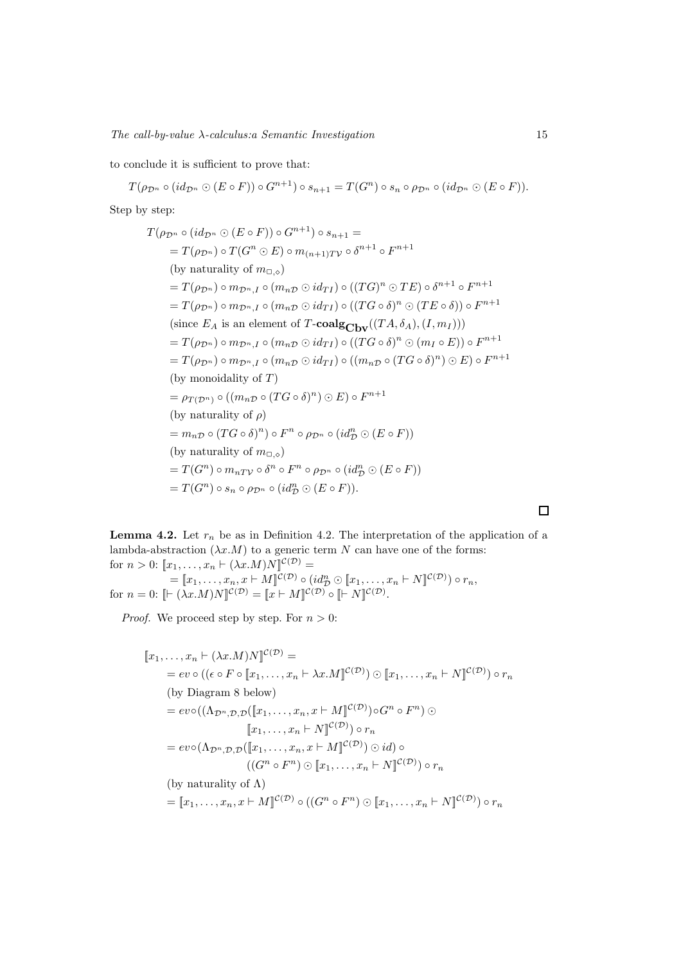to conclude it is sufficient to prove that:

$$
T(\rho_{\mathcal{D}^n} \circ (id_{\mathcal{D}^n} \odot (E \circ F)) \circ G^{n+1}) \circ s_{n+1} = T(G^n) \circ s_n \circ \rho_{\mathcal{D}^n} \circ (id_{\mathcal{D}^n} \odot (E \circ F)).
$$

Step by step:

$$
T(\rho_{\mathcal{D}^n} \circ (id_{\mathcal{D}^n} \odot (E \circ F)) \circ G^{n+1}) \circ s_{n+1} =
$$
  
\n
$$
= T(\rho_{\mathcal{D}^n}) \circ T(G^n \odot E) \circ m_{(n+1)TV} \circ \delta^{n+1} \circ F^{n+1}
$$
  
\n(by naturality of  $m_{\Box, \Diamond}$ )  
\n
$$
= T(\rho_{\mathcal{D}^n}) \circ m_{\mathcal{D}^n, I} \circ (m_n \circ id_{TI}) \circ ((TG)^n \odot TE) \circ \delta^{n+1} \circ F^{n+1}
$$
  
\n
$$
= T(\rho_{\mathcal{D}^n}) \circ m_{\mathcal{D}^n, I} \circ (m_n \circ id_{TI}) \circ ((TG \circ \delta)^n \odot (TE \circ \delta)) \circ F^{n+1}
$$
  
\n(since  $E_A$  is an element of  $T$ -**coalg** $_{\text{Cbv}}((TA, \delta_A), (I, m_I)))$   
\n
$$
= T(\rho_{\mathcal{D}^n}) \circ m_{\mathcal{D}^n, I} \circ (m_n \circ id_{TI}) \circ ((TG \circ \delta)^n \odot (m_I \circ E)) \circ F^{n+1}
$$
  
\n
$$
= T(\rho_{\mathcal{D}^n}) \circ m_{\mathcal{D}^n, I} \circ (m_n \circ id_{TI}) \circ ((m_n \circ (TG \circ \delta)^n) \odot E) \circ F^{n+1}
$$
  
\n(by monoidality of  $T)$   
\n
$$
= \rho_{T(\mathcal{D}^n)} \circ ((m_n \circ (TG \circ \delta)^n) \odot E) \circ F^{n+1}
$$
  
\n(by naturality of  $\rho)$   
\n
$$
= m_n \circ (TG \circ \delta)^n) \circ F^n \circ \rho_{\mathcal{D}^n} \circ (id_{\mathcal{D}}^n \odot (E \circ F))
$$
  
\n(by naturality of  $m_{\Box, \Diamond}$ )  
\n
$$
= T(G^n) \circ m_n r_V \circ \delta^n \circ F^n \circ \rho_{\mathcal{D}^n} \circ (id_{\mathcal{D}}^n \odot (E \circ F))
$$
  
\n
$$
= T(G
$$

**Lemma 4.2.** Let  $r_n$  be as in Definition 4.2. The interpretation of the application of a lambda-abstraction  $(\lambda x.M)$  to a generic term N can have one of the forms: for  $n > 0$ :  $[x_1, \ldots, x_n \vdash (\lambda x.M)N]^{\mathcal{C}(\mathcal{D})}$  =

 $=[\![x_1,\ldots,x_n,x\vdash M]\!]^{\mathcal{C}(\mathcal{D})}\circ (id_{\mathcal{D}}^n\odot [\![x_1,\ldots,x_n\vdash N]\!]^{\mathcal{C}(\mathcal{D})})\circ r_n,$ for  $n = 0$ :  $\lbrack\mathcal{F}(\lambda x. M)N\rbrack^{\mathcal{C}(\mathcal{D})} = \lbrack\!\lbrack x \vdash M \rbrack^{\mathcal{C}(\mathcal{D})} \circ \lbrack\!\lbrack\vdash N \rbrack^{\mathcal{C}(\mathcal{D})}.$ 

*Proof.* We proceed step by step. For  $n > 0$ :

$$
[x_1, ..., x_n \vdash (\lambda x.M)N]^{\mathcal{C}(\mathcal{D})} =
$$
  
\n
$$
= ev \circ ((\epsilon \circ F \circ [x_1, ..., x_n \vdash \lambda x.M]^{\mathcal{C}(\mathcal{D})}) \odot [x_1, ..., x_n \vdash N]^{\mathcal{C}(\mathcal{D})}) \circ r_n
$$
  
\n(by Diagram 8 below)  
\n
$$
= ev \circ ((\Lambda_{\mathcal{D}^n, \mathcal{D}, \mathcal{D}}([x_1, ..., x_n, x \vdash M]^{\mathcal{C}(\mathcal{D})}) \circ G^n \circ F^n) \odot
$$
  
\n
$$
[x_1, ..., x_n \vdash N]^{\mathcal{C}(\mathcal{D})} \circ r_n
$$
  
\n
$$
= ev \circ (\Lambda_{\mathcal{D}^n, \mathcal{D}, \mathcal{D}}([x_1, ..., x_n, x \vdash M]^{\mathcal{C}(\mathcal{D})}) \odot id) \circ
$$
  
\n
$$
((G^n \circ F^n) \odot [x_1, ..., x_n \vdash N]^{\mathcal{C}(\mathcal{D})}) \circ r_n
$$
  
\n(by naturality of  $\Lambda$ )  
\n
$$
= [x_1, ..., x_n, x \vdash M]^{\mathcal{C}(\mathcal{D})} \circ ((G^n \circ F^n) \odot [x_1, ..., x_n \vdash N]^{\mathcal{C}(\mathcal{D})}) \circ r_n
$$

 $\Box$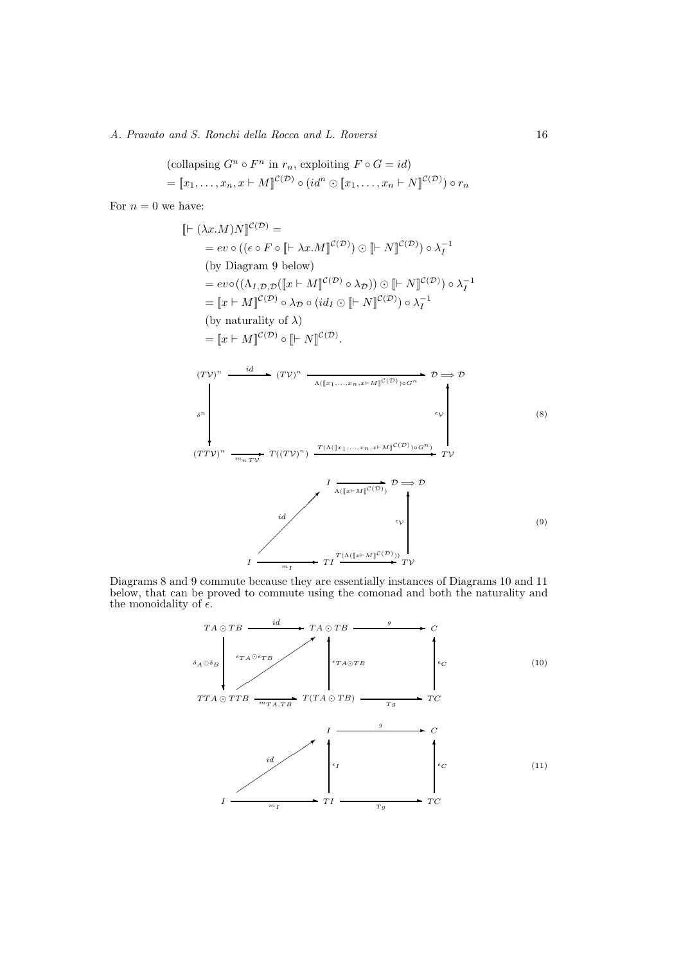A. Pravato and S. Ronchi della Rocca and L. Roversi 16

$$
\begin{aligned} &\text{(collapsing } G^n \circ F^n \text{ in } r_n \text{, exploiting } F \circ G = id) \\ &= [x_1, \dots, x_n, x \vdash M]^{C(\mathcal{D})} \circ (id^n \odot [x_1, \dots, x_n \vdash N]^{C(\mathcal{D})}) \circ r_n \end{aligned}
$$

For  $n = 0$  we have:

$$
[ [-(\lambda x.M)N]^{C(D)} =
$$
\n= ev o (( $\epsilon \circ F \circ [[-\lambda x.M]^{C(D)}) \circ [[-N]^{C(D)}) \circ \lambda_I^{-1}$   
\n(by Diagram 9 below)  
\n= ev (( $\Lambda_{I,D,D}([x \vdash M]^{C(D)} \circ \lambda_D)$ )  $\circ [[-N]^{C(D)} \circ \lambda_I^{-1}$   
\n=  $[[x \vdash M]^{C(D)} \circ \lambda_D \circ (id_I \circ [[-N]^{C(D)}) \circ \lambda_I^{-1}]$   
\n(by naturality of  $\lambda$ )  
\n=  $[[x \vdash M]^{C(D)} \circ [[-N]^{C(D)}]$ .  
\n $(TV)^n \xrightarrow{id} \xrightarrow{\iota} (TV)^n \xrightarrow{\Lambda([x_1, \ldots, x_n, x \vdash M]^{C(D)})_0 \circ T^n} D \Rightarrow D$   
\n $\delta^n$   
\n $\delta^n$   
\n $(TV)^n \xrightarrow{\iota} T((TV)^n) \xrightarrow{T(\Lambda([x_1, \ldots, x_n, x \vdash M]^{C(D)})_0 \circ T^n)} T$   
\n $\delta^n$   
\n $\delta^n$   
\n $\delta^n$   
\n $\delta^n$   
\n $\delta^n$   
\n $\delta^n$   
\n $\delta^n$   
\n $\delta^n$   
\n $\delta^n$   
\n $\delta^n$   
\n $\delta^n$   
\n $\delta^n$   
\n $\delta^n$   
\n $\delta^n$   
\n $\delta^n$   
\n $\delta^n$   
\n $\delta^n$   
\n $\delta^n$   
\n $\delta^n$   
\n $\delta^n$   
\n $\delta^n$   
\n $\delta^n$   
\n $\delta^n$   
\n $\delta^n$   
\n $\delta^n$   
\n $\delta^n$   
\n $\delta^n$   
\n $\delta^n$   
\n $\delta^n$   
\n $\delta^n$   
\n $\delta^n$   
\n $\delta^n$   
\n $\delta^n$   
\n $\delta^n$   
\n $\delta^n$ 

Diagrams 8 and 9 commute because they are essentially instances of Diagrams 10 and 11 below, that can be proved to commute using the comonad and both the naturality and the monoidality of  $\epsilon$ .

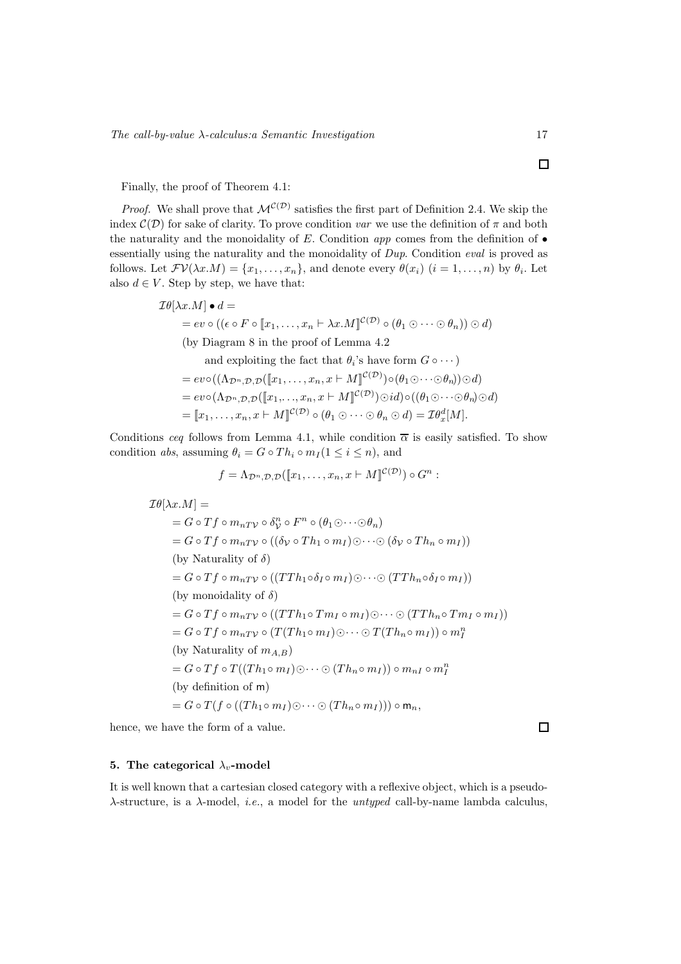Finally, the proof of Theorem 4.1:

*Proof.* We shall prove that  $\mathcal{M}^{(\mathcal{D})}$  satisfies the first part of Definition 2.4. We skip the index  $\mathcal{C}(\mathcal{D})$  for sake of clarity. To prove condition var we use the definition of  $\pi$  and both the naturality and the monoidality of  $E$ . Condition app comes from the definition of  $\bullet$ essentially using the naturality and the monoidality of Dup. Condition eval is proved as follows. Let  $\mathcal{F}V(\lambda x.M) = \{x_1, \ldots, x_n\}$ , and denote every  $\theta(x_i)$   $(i = 1, \ldots, n)$  by  $\theta_i$ . Let also  $d \in V$ . Step by step, we have that:

$$
\mathcal{I}\theta[\lambda x.M] \bullet d =
$$
\n
$$
= ev \circ ((\epsilon \circ F \circ [x_1, \dots, x_n \vdash \lambda x.M]^{\mathcal{C}(\mathcal{D})} \circ (\theta_1 \odot \cdots \odot \theta_n)) \odot d)
$$
\n(by Diagram 8 in the proof of Lemma 4.2  
\nand exploiting the fact that  $\theta_i$ 's have form  $G \circ \cdots$ )\n
$$
= ev \circ ((\Lambda_{\mathcal{D}^n, \mathcal{D}, \mathcal{D}}([x_1, \dots, x_n, x \vdash M]^{\mathcal{C}(\mathcal{D})}) \circ (\theta_1 \odot \cdots \odot \theta_n)) \odot d)
$$
\n
$$
= ev \circ (\Lambda_{\mathcal{D}^n, \mathcal{D}, \mathcal{D}}([x_1, \dots, x_n, x \vdash M]^{\mathcal{C}(\mathcal{D})}) \odot id) \circ ((\theta_1 \odot \cdots \odot \theta_n) \odot d)
$$
\n
$$
= [x_1, \dots, x_n, x \vdash M]^{\mathcal{C}(\mathcal{D})} \circ (\theta_1 \odot \cdots \odot \theta_n \odot d) = \mathcal{I}\theta_x^d[M].
$$

Conditions ceq follows from Lemma 4.1, while condition  $\bar{\alpha}$  is easily satisfied. To show condition abs, assuming  $\theta_i = G \circ Th_i \circ m_I (1 \leq i \leq n)$ , and

$$
f = \Lambda_{\mathcal{D}^n, \mathcal{D}, \mathcal{D}}([\![x_1, \ldots, x_n, x \vdash M]\!]^{\mathcal{C}(\mathcal{D})}) \circ G^n :
$$

 $\mathcal{I}\theta[\lambda x.M] =$  $= G \circ Tf \circ m_{nTV} \circ \delta_V^n \circ F^n \circ (\theta_1 \odot \cdots \odot \theta_n)$  $= G \circ Tf \circ m_{nTV} \circ ((\delta_{\mathcal{V}} \circ Th_1 \circ m_I) \odot \cdots \odot (\delta_{\mathcal{V}} \circ Th_n \circ m_I))$ (by Naturality of  $\delta$ )  $= G \circ Tf \circ m_{nTV} \circ ((TTh_1 \circ \delta_I \circ m_I) \odot \cdots \odot (TTh_n \circ \delta_I \circ m_I))$ (by monoidality of  $\delta$ )  $= G \circ Tf \circ m_{nTV} \circ ((TTh_1 \circ Tm_I \circ m_I) \odot \cdots \odot (TTh_n \circ Tm_I \circ m_I))$  $= G \circ Tf \circ m_{nTV} \circ (T(Th_1 \circ m_I) \odot \cdots \odot T(Th_n \circ m_I)) \circ m_I^n$ (by Naturality of  $m_{A,B}$ )  $G = G \circ Tf \circ T((Th_1 \circ m_I) \odot \cdots \odot (Th_n \circ m_I)) \circ m_{nI} \circ m_I^n$ (by definition of m)  $= G \circ T (f \circ ((Th_1 \circ m_I) \odot \cdots \odot (Th_n \circ m_I))) \circ m_n,$ 

hence, we have the form of a value.

#### 5. The categorical  $\lambda_v$ -model

It is well known that a cartesian closed category with a reflexive object, which is a pseudo- $\lambda$ -structure, is a  $\lambda$ -model, *i.e.*, a model for the *untyped* call-by-name lambda calculus,

 $\Box$ 

 $\Box$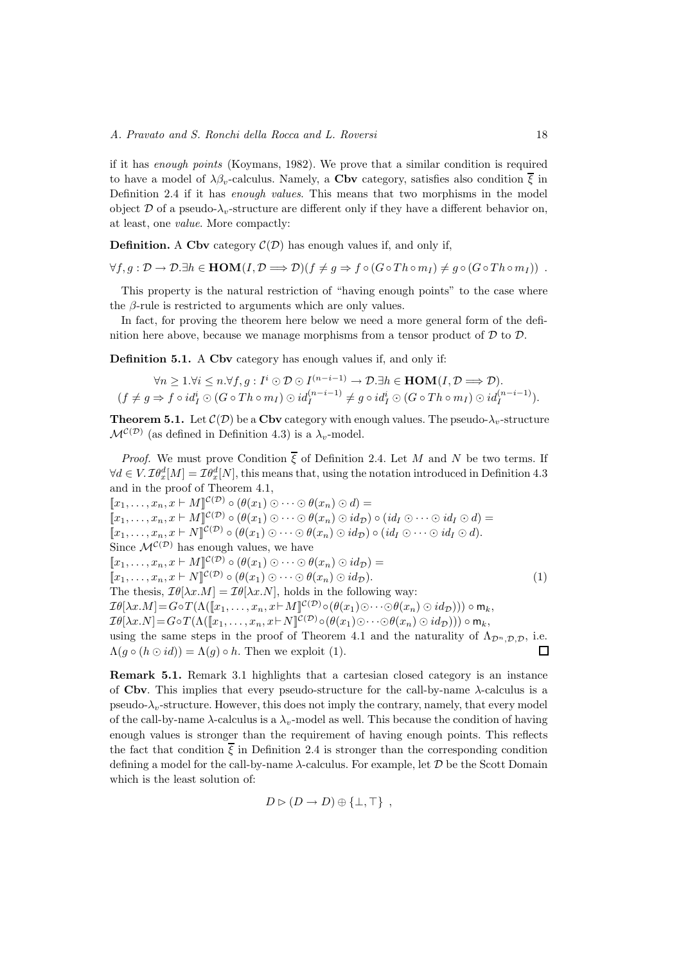if it has enough points (Koymans, 1982). We prove that a similar condition is required to have a model of  $\lambda \beta_v$ -calculus. Namely, a Cbv category, satisfies also condition  $\overline{\xi}$  in Definition 2.4 if it has enough values. This means that two morphisms in the model object  $\mathcal D$  of a pseudo- $\lambda_v$ -structure are different only if they have a different behavior on, at least, one value. More compactly:

**Definition.** A Cby category  $\mathcal{C}(\mathcal{D})$  has enough values if, and only if,

 $\forall f, g : \mathcal{D} \to \mathcal{D}.\exists h \in \text{HOM}(I, \mathcal{D} \Longrightarrow \mathcal{D})(f \neq g \Rightarrow f \circ (G \circ Th \circ m_I) \neq g \circ (G \circ Th \circ m_I))$ .

This property is the natural restriction of "having enough points" to the case where the  $\beta$ -rule is restricted to arguments which are only values.

In fact, for proving the theorem here below we need a more general form of the definition here above, because we manage morphisms from a tensor product of  $\mathcal D$  to  $\mathcal D$ .

Definition 5.1. A Cby category has enough values if, and only if:

$$
\forall n \geq 1. \forall i \leq n. \forall f, g: I^i \odot \mathcal{D} \odot I^{(n-i-1)} \rightarrow \mathcal{D}.\exists h \in \text{HOM}(I, \mathcal{D} \Longrightarrow \mathcal{D}).
$$
  

$$
(f \neq g \Rightarrow f \circ id^i_I \odot (G \circ Th \circ m_I) \odot id^{(n-i-1)}_I \neq g \circ id^i_I \odot (G \circ Th \circ m_I) \odot id^{(n-i-1)}_I).
$$

**Theorem 5.1.** Let  $\mathcal{C}(\mathcal{D})$  be a Cbv category with enough values. The pseudo- $\lambda_v$ -structure  $\mathcal{M}^{\mathcal{C}(\mathcal{D})}$  (as defined in Definition 4.3) is a  $\lambda_v$ -model.

*Proof.* We must prove Condition  $\overline{\xi}$  of Definition 2.4. Let M and N be two terms. If  $\forall d \in V$ .  $\mathcal{I}\theta_x^d[M] = \mathcal{I}\theta_x^d[N]$ , this means that, using the notation introduced in Definition 4.3 and in the proof of Theorem 4.1,

 $[x_1, \ldots, x_n, x \vdash M]^{\mathcal{C}(\mathcal{D})} \circ (\theta(x_1) \odot \cdots \odot \theta(x_n) \odot d) =$  $[x_1, \ldots, x_n, x \vdash M]^{\mathcal{C}(\mathcal{D})} \circ (\theta(x_1) \odot \cdots \odot \theta(x_n) \odot id_{\mathcal{D}}) \circ (id_I \odot \cdots \odot id_I \odot d) =$  $[[x_1,\ldots,x_n,x\vdash N]^{\mathcal{C}(\mathcal{D})}\circ(\theta(x_1)\odot\cdots\odot\theta(x_n)\odot id_{\mathcal{D}})\circ(id_I\odot\cdots\odot id_I\odot d).$ Since  $\mathcal{M}^{\mathcal{C}(\mathcal{D})}$  has enough values, we have  $[x_1, \ldots, x_n, x \vdash M]^{\mathcal{C}(\mathcal{D})} \circ (\theta(x_1) \odot \cdots \odot \theta(x_n) \odot id_{\mathcal{D}}) =$  $[x_1, \ldots, x_n, x \vdash N]^{\mathcal{C}(\mathcal{D})} \circ (\theta(x_1) \odot \cdots \odot \theta(x_n) \odot id_{\mathcal{D}}).$  (1) The thesis,  $\mathcal{I}\theta[\lambda x.M] = \mathcal{I}\theta[\lambda x.N]$ , holds in the following way:  $\mathcal{I}\theta[\lambda x.M] = G \circ T(\Lambda([\![x_1,\ldots,x_n,x\vdash M]\!]^{\mathcal{C}(\mathcal{D})} \circ (\theta(x_1)\odot\cdots\odot\theta(x_n)\odot id_{\mathcal{D}}))) \circ \mathsf{m}_k,$  $\mathcal{I}\theta[\lambda x.N]=G\circ T(\Lambda([\![x_1,\ldots,x_n,x\vdash N]\!](\mathcal{C}^{(1)})\circ(\theta(x_1)\odot\cdots\odot\theta(x_n)\odot id_{\mathcal{D}})))\circ\mathsf{m}_k,$ using the same steps in the proof of Theorem 4.1 and the naturality of  $\Lambda_{\mathcal{D}^n,\mathcal{D},\mathcal{D}}$ , i.e.  $\Lambda(g \circ (h \odot id)) = \Lambda(g) \circ h$ . Then we exploit (1).  $\Box$ 

Remark 5.1. Remark 3.1 highlights that a cartesian closed category is an instance of Cbv. This implies that every pseudo-structure for the call-by-name  $\lambda$ -calculus is a pseudo- $\lambda_v$ -structure. However, this does not imply the contrary, namely, that every model of the call-by-name  $\lambda$ -calculus is a  $\lambda_v$ -model as well. This because the condition of having enough values is stronger than the requirement of having enough points. This reflects the fact that condition  $\overline{\xi}$  in Definition 2.4 is stronger than the corresponding condition defining a model for the call-by-name  $\lambda$ -calculus. For example, let  $\mathcal D$  be the Scott Domain which is the least solution of:

$$
D \triangleright (D \to D) \oplus \{\bot, \top\} ,
$$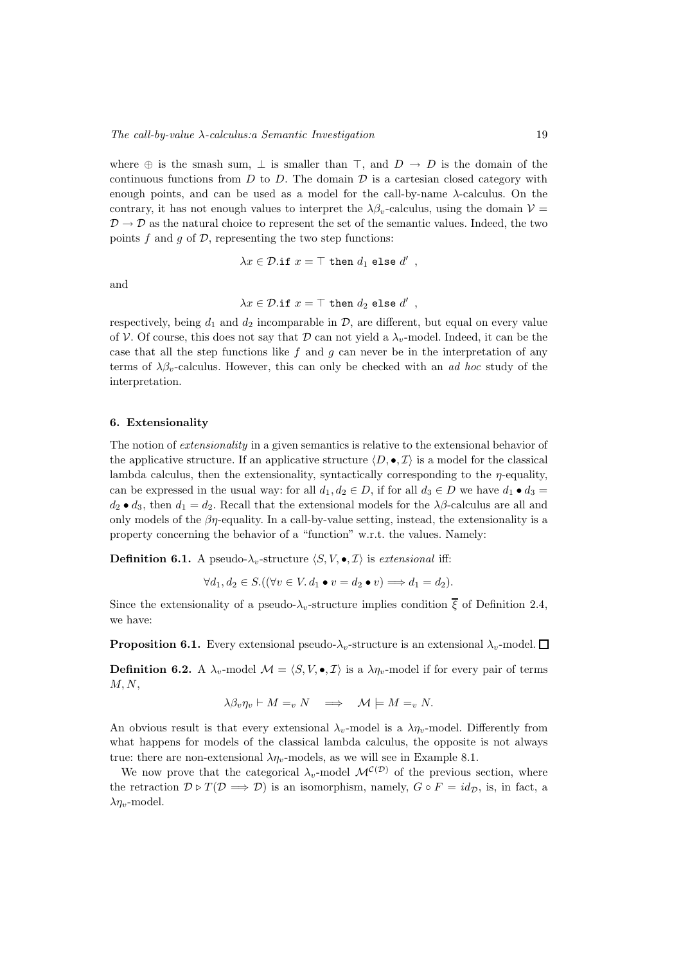where  $\oplus$  is the smash sum,  $\perp$  is smaller than  $\top$ , and  $D \to D$  is the domain of the continuous functions from  $D$  to  $D$ . The domain  $D$  is a cartesian closed category with enough points, and can be used as a model for the call-by-name  $\lambda$ -calculus. On the contrary, it has not enough values to interpret the  $\lambda \beta_v$ -calculus, using the domain  $\mathcal{V} =$  $\mathcal{D} \rightarrow \mathcal{D}$  as the natural choice to represent the set of the semantic values. Indeed, the two points  $f$  and  $g$  of  $\mathcal{D}$ , representing the two step functions:

$$
\lambda x\in\mathcal{D}.\mathtt{if}\ x = \top\ \mathtt{then}\ d_1\ \mathtt{else}\ d'\enspace,
$$

and

$$
\lambda x \in \mathcal{D}.\texttt{if } x = \top \texttt{ then } d_2 \texttt{ else } d' ,
$$

respectively, being  $d_1$  and  $d_2$  incomparable in  $\mathcal{D}$ , are different, but equal on every value of V. Of course, this does not say that D can not yield a  $\lambda_v$ -model. Indeed, it can be the case that all the step functions like f and g can never be in the interpretation of any terms of  $\lambda \beta_v$ -calculus. However, this can only be checked with an *ad hoc* study of the interpretation.

#### 6. Extensionality

The notion of *extensionality* in a given semantics is relative to the extensional behavior of the applicative structure. If an applicative structure  $\langle D, \bullet, \mathcal{I} \rangle$  is a model for the classical lambda calculus, then the extensionality, syntactically corresponding to the  $\eta$ -equality, can be expressed in the usual way: for all  $d_1, d_2 \in D$ , if for all  $d_3 \in D$  we have  $d_1 \bullet d_3 =$  $d_2 \bullet d_3$ , then  $d_1 = d_2$ . Recall that the extensional models for the  $\lambda \beta$ -calculus are all and only models of the  $\beta\eta$ -equality. In a call-by-value setting, instead, the extensionality is a property concerning the behavior of a "function" w.r.t. the values. Namely:

**Definition 6.1.** A pseudo- $\lambda_v$ -structure  $\langle S, V, \bullet, \mathcal{I} \rangle$  is extensional iff:

$$
\forall d_1, d_2 \in S. ((\forall v \in V. d_1 \bullet v = d_2 \bullet v) \Longrightarrow d_1 = d_2).
$$

Since the extensionality of a pseudo- $\lambda_v$ -structure implies condition  $\bar{\xi}$  of Definition 2.4, we have:

**Proposition 6.1.** Every extensional pseudo- $\lambda_v$ -structure is an extensional  $\lambda_v$ -model.  $\Box$ 

**Definition 6.2.** A  $\lambda_v$ -model  $\mathcal{M} = \langle S, V, \bullet, \mathcal{I} \rangle$  is a  $\lambda \eta_v$ -model if for every pair of terms  $M, N,$ 

$$
\lambda \beta_v \eta_v \vdash M =_v N \quad \Longrightarrow \quad \mathcal{M} \models M =_v N.
$$

An obvious result is that every extensional  $\lambda_v$ -model is a  $\lambda_{\eta_v}$ -model. Differently from what happens for models of the classical lambda calculus, the opposite is not always true: there are non-extensional  $\lambda \eta_v$ -models, as we will see in Example 8.1.

We now prove that the categorical  $\lambda_v$ -model  $\mathcal{M}^{\mathcal{C}(\mathcal{D})}$  of the previous section, where the retraction  $\mathcal{D} \triangleright T(\mathcal{D} \Longrightarrow \mathcal{D})$  is an isomorphism, namely,  $G \circ F = id_{\mathcal{D}}$ , is, in fact, a  $\lambda \eta_v$ -model.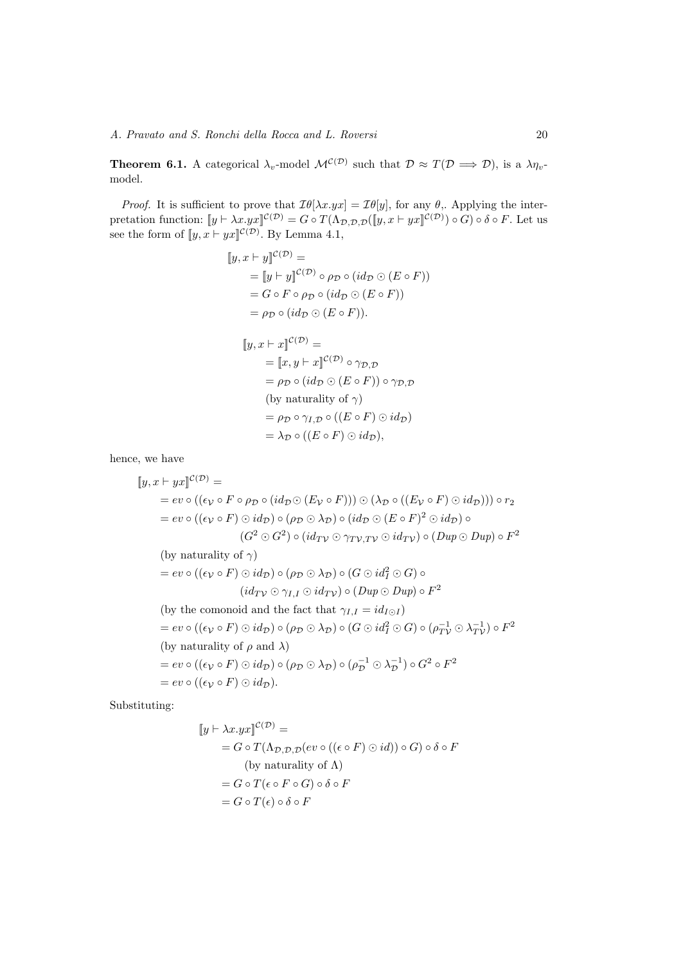**Theorem 6.1.** A categorical  $\lambda_v$ -model  $\mathcal{M}^{(\mathcal{O})}$  such that  $\mathcal{D} \approx T(\mathcal{D} \Longrightarrow \mathcal{D})$ , is a  $\lambda \eta_v$ model.

*Proof.* It is sufficient to prove that  $\mathcal{I}\theta[\lambda x.yx] = \mathcal{I}\theta[y]$ , for any  $\theta$ ,. Applying the interpretation function:  $[\![y \vdash \lambda x.yx]\!]^{C(\mathcal{D})} = G \circ T(\Lambda_{\mathcal{D},\mathcal{D},\mathcal{D}}([\![y,x \vdash yx]\!]^{C(\mathcal{D})}) \circ G) \circ \delta \circ F$ . Let us see the form of  $\llbracket y, x \vdash yx \rrbracket^{\mathcal{C}(\mathcal{D})}$ . By Lemma 4.1,

$$
[y, x \vdash y]^{\mathcal{C}(\mathcal{D})} =
$$
  
\n
$$
= [y \vdash y]^{\mathcal{C}(\mathcal{D})} \circ \rho_{\mathcal{D}} \circ (id_{\mathcal{D}} \odot (E \circ F))
$$
  
\n
$$
= G \circ F \circ \rho_{\mathcal{D}} \circ (id_{\mathcal{D}} \odot (E \circ F))
$$
  
\n
$$
= \rho_{\mathcal{D}} \circ (id_{\mathcal{D}} \odot (E \circ F)).
$$
  
\n
$$
[y, x \vdash x]^{\mathcal{C}(\mathcal{D})} =
$$
  
\n
$$
= [x, y \vdash x]^{\mathcal{C}(\mathcal{D})} \circ \gamma_{\mathcal{D}, \mathcal{D}}
$$
  
\n
$$
= \rho_{\mathcal{D}} \circ (id_{\mathcal{D}} \odot (E \circ F)) \circ \gamma_{\mathcal{D}, \mathcal{D}}
$$
  
\n(by naturality of  $\gamma$ )  
\n
$$
= \rho_{\mathcal{D}} \circ \gamma_{I, \mathcal{D}} \circ ((E \circ F) \odot id_{\mathcal{D}}))
$$
  
\n
$$
= \lambda_{\mathcal{D}} \circ ((E \circ F) \odot id_{\mathcal{D}}),
$$

hence, we have

$$
[y, x + yx]^{C(D)} =
$$
  
\n
$$
= ev \circ ((\epsilon_V \circ F \circ \rho_D \circ (id_D \circ (E_V \circ F))) \circ (\lambda_D \circ ((E_V \circ F) \circ id_D))) \circ r_2
$$
  
\n
$$
= ev \circ ((\epsilon_V \circ F) \circ id_D) \circ (\rho_D \circ \lambda_D) \circ (id_D \circ (E \circ F)^2 \circ id_D) \circ
$$
  
\n
$$
(G^2 \circ G^2) \circ (id_{TV} \circ \gamma_{TV,TV} \circ id_{TV}) \circ (Dup \circ Dup) \circ F^2
$$
  
\n(by naturality of  $\gamma$ )  
\n
$$
= ev \circ ((\epsilon_V \circ F) \circ id_D) \circ (\rho_D \circ \lambda_D) \circ (G \circ id^2 \circ G) \circ
$$
  
\n
$$
(id_{TV} \circ \gamma_{I,I} \circ id_{TV}) \circ (Dup \circ Dup) \circ F^2
$$
  
\n(by the comonoid and the fact that  $\gamma_{I,I} = id_{I \circ I}$ )  
\n
$$
= ev \circ ((\epsilon_V \circ F) \circ id_D) \circ (\rho_D \circ \lambda_D) \circ (G \circ id^2 \circ G) \circ (\rho_{TV}^{-1} \circ \lambda_{TV}^{-1}) \circ F^2
$$
  
\n(by naturality of  $\rho$  and  $\lambda$ )  
\n
$$
= ev \circ ((\epsilon_V \circ F) \circ id_D) \circ (\rho_D \circ \lambda_D) \circ (\rho_D^{-1} \circ \lambda_D^{-1}) \circ G^2 \circ F^2
$$
  
\n
$$
= ev \circ ((\epsilon_V \circ F) \circ id_D).
$$

Substituting:

$$
[y \vdash \lambda x.yx]^{\mathcal{C}(\mathcal{D})} =
$$
  
=  $G \circ T(\Lambda_{\mathcal{D},\mathcal{D},\mathcal{D}}(ev \circ ((\epsilon \circ F) \odot id)) \circ G) \circ \delta \circ F$   
(by naturality of  $\Lambda$ )  
=  $G \circ T(\epsilon \circ F \circ G) \circ \delta \circ F$   
=  $G \circ T(\epsilon) \circ \delta \circ F$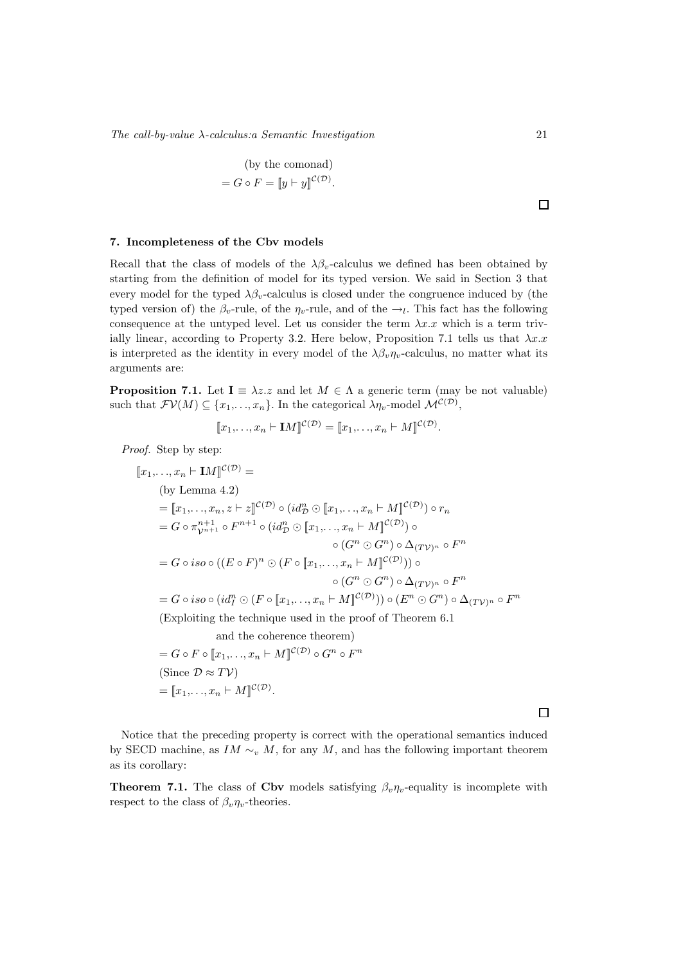$The \, call \, -value \, \lambda \, - calculus \, is \, a \, semantic \, Investigation \,\n\qquad \qquad 21$ 

(by the comonad)  
= 
$$
G \circ F = [y \vdash y]^{C(\mathcal{D})}
$$
.

#### 7. Incompleteness of the Cbv models

Recall that the class of models of the  $\lambda \beta_v$ -calculus we defined has been obtained by starting from the definition of model for its typed version. We said in Section 3 that every model for the typed  $\lambda \beta_v$ -calculus is closed under the congruence induced by (the typed version of) the  $\beta_v$ -rule, of the  $\eta_v$ -rule, and of the  $\rightarrow_l$ . This fact has the following consequence at the untyped level. Let us consider the term  $\lambda x.x$  which is a term trivially linear, according to Property 3.2. Here below, Proposition 7.1 tells us that  $\lambda x.x$ is interpreted as the identity in every model of the  $\lambda \beta_v \eta_v$ -calculus, no matter what its arguments are:

**Proposition 7.1.** Let  $I = \lambda z \cdot z$  and let  $M \in \Lambda$  a generic term (may be not valuable) such that  $\mathcal{F}V(M) \subseteq \{x_1, \ldots, x_n\}$ . In the categorical  $\lambda \eta_v$ -model  $\mathcal{M}^{\mathcal{C}(\mathcal{D})}$ ,

$$
[\![x_1,\ldots,x_n\vdash \mathbf{I}M]\!]^{\mathcal{C}(\mathcal{D})} = [\![x_1,\ldots,x_n\vdash M]\!]^{\mathcal{C}(\mathcal{D})}.
$$

Proof. Step by step:

 $[x_1,...,x_n \vdash \mathbf{I}M]^{\mathcal{C}(\mathcal{D})} =$ (by Lemma 4.2)  $=[\![x_1,\ldots,x_n,z\vdash z]\!]^{\mathcal{C}(\mathcal{D})}\circ(id_{\mathcal{D}}^n\odot[\![x_1,\ldots,x_n\vdash M]\!]^{\mathcal{C}(\mathcal{D})})\circ r_n$  $=G\circ \pi_{\mathcal{V}^{n+1}}^{n+1}\circ F^{n+1}\circ (id_{\mathcal{D}}^{n}\odot \llbracket x_{1},\ldots,x_{n}\vdash M\rrbracket^{\mathcal{C}(\mathcal{D})})\circ$  $\circ$   $(G^n \odot G^n) \circ \Delta_{(T \mathcal{V})^n} \circ F^n$  $=G\circ iso\circ ((E\circ F)^n\odot (F\circ \llbracket x_1,\ldots,x_n\vdash M\rrbracket^{{\cal C}({\cal D})}))\circ$  $\circ$   $(G^n \odot G^n) \circ \Delta_{(T \mathcal{V})^n} \circ F^n$  $G = G \circ iso \circ (id^n_I \odot (F \circ \llbracket x_1, \ldots, x_n \vdash M \rrbracket^{{\mathcal C}({\mathcal D})})) \circ (E^n \odot G^n) \circ \Delta_{(T{\mathcal V})^n} \circ F^n$ (Exploiting the technique used in the proof of Theorem 6.1 and the coherence theorem)  $G = G \circ F \circ [x_1, \ldots, x_n \vdash M]^{\mathcal{C}(\mathcal{D})} \circ G^n \circ F^n$ (Since  $\mathcal{D} \approx T\mathcal{V}$ )  $= [x_1, ..., x_n \vdash M]^{C(D)}.$ 

 $\Box$ 

Notice that the preceding property is correct with the operational semantics induced by SECD machine, as IM  $\sim_v M$ , for any M, and has the following important theorem as its corollary:

**Theorem 7.1.** The class of Cbv models satisfying  $\beta_n \eta_n$ -equality is incomplete with respect to the class of  $\beta_v \eta_v$ -theories.

 $\Box$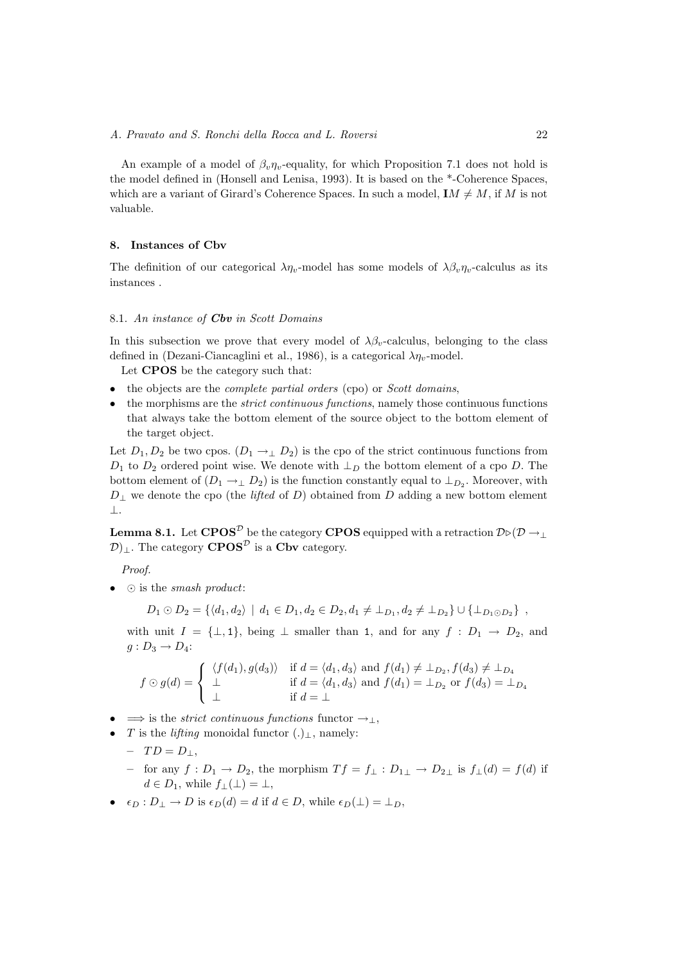An example of a model of  $\beta_v \eta_v$ -equality, for which Proposition 7.1 does not hold is the model defined in (Honsell and Lenisa, 1993). It is based on the \*-Coherence Spaces, which are a variant of Girard's Coherence Spaces. In such a model,  $IM \neq M$ , if M is not valuable.

# 8. Instances of Cbv

The definition of our categorical  $\lambda \eta_v$ -model has some models of  $\lambda \beta_v \eta_v$ -calculus as its instances .

# 8.1. An instance of **Cbv** in Scott Domains

In this subsection we prove that every model of  $\lambda \beta_n$ -calculus, belonging to the class defined in (Dezani-Ciancaglini et al., 1986), is a categorical  $\lambda \eta_v$ -model.

Let CPOS be the category such that:

- $\bullet$  the objects are the *complete partial orders* (cpo) or *Scott domains*,
- the morphisms are the *strict continuous functions*, namely those continuous functions that always take the bottom element of the source object to the bottom element of the target object.

Let  $D_1, D_2$  be two cpos.  $(D_1 \rightarrow \perp D_2)$  is the cpo of the strict continuous functions from  $D_1$  to  $D_2$  ordered point wise. We denote with  $\perp_D$  the bottom element of a cpo D. The bottom element of  $(D_1 \rightarrow_{\perp} D_2)$  is the function constantly equal to  $\perp_{D_2}$ . Moreover, with  $D_{\perp}$  we denote the cpo (the *lifted* of D) obtained from D adding a new bottom element ⊥.

**Lemma 8.1.** Let  $CPOS^{\mathcal{D}}$  be the category CPOS equipped with a retraction  $D\square(\mathcal{D} \rightarrow \bot)$  $\mathcal{D}|_1$ . The category **CPOS**<sup> $\mathcal{D}$ </sup> is a **Cbv** category.

Proof.

•  $\odot$  is the *smash product*:

$$
D_1 \odot D_2 = \{ \langle d_1, d_2 \rangle \mid d_1 \in D_1, d_2 \in D_2, d_1 \neq \perp_{D_1}, d_2 \neq \perp_{D_2} \} \cup \{ \perp_{D_1 \odot D_2} \},
$$

with unit  $I = {\perp, 1}$ , being  $\perp$  smaller than 1, and for any  $f : D_1 \rightarrow D_2$ , and  $g: D_3 \rightarrow D_4$ :

$$
f \odot g(d) = \begin{cases} \langle f(d_1), g(d_3) \rangle & \text{if } d = \langle d_1, d_3 \rangle \text{ and } f(d_1) \neq \perp_{D_2}, f(d_3) \neq \perp_{D_4} \\ \perp & \text{if } d = \langle d_1, d_3 \rangle \text{ and } f(d_1) = \perp_{D_2} \text{ or } f(d_3) = \perp_{D_4} \\ \perp & \text{if } d = \perp \end{cases}
$$

•  $\Rightarrow$  is the *strict continuous functions* functor  $\rightarrow_{\perp}$ ,

- T is the *lifting* monoidal functor  $(.)_1$ , namely:
	- $-TD = D_{\perp},$
	- for any  $f: D_1 \to D_2$ , the morphism  $Tf = f_\perp : D_{1\perp} \to D_{2\perp}$  is  $f_\perp(d) = f(d)$  if  $d \in D_1$ , while  $f_{\perp}(\perp) = \perp$ ,
- $\epsilon_D : D_\perp \to D$  is  $\epsilon_D(d) = d$  if  $d \in D$ , while  $\epsilon_D(\perp) = \perp_D$ ,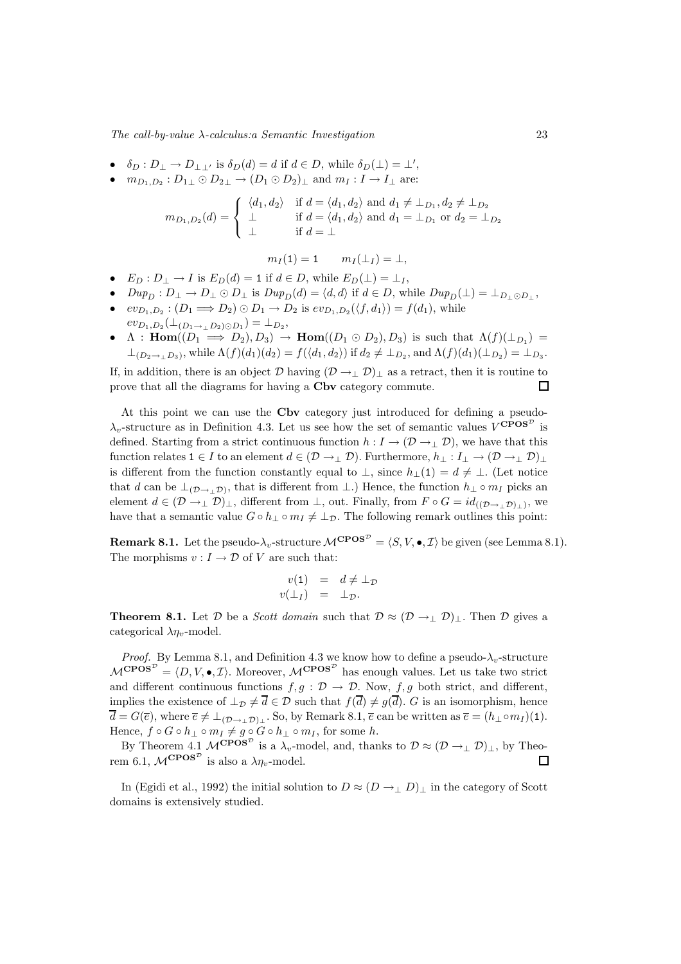$The \, call \, -value \, \lambda \, - calculus \, is \, a \, semantic \, Investigation \qquad \qquad 23$ 

- $\delta_D: D_{\perp} \to D_{\perp\perp'}$  is  $\delta_D(d) = d$  if  $d \in D$ , while  $\delta_D(\perp) = \perp'$ ,
- $m_{D_1,D_2}: D_{1\perp} \odot D_{2\perp} \rightarrow (D_1 \odot D_2)_{\perp}$  and  $m_I: I \rightarrow I_{\perp}$  are:

$$
m_{D_1, D_2}(d) = \begin{cases} \langle d_1, d_2 \rangle & \text{if } d = \langle d_1, d_2 \rangle \text{ and } d_1 \neq \bot_{D_1}, d_2 \neq \bot_{D_2} \\ \bot & \text{if } d = \langle d_1, d_2 \rangle \text{ and } d_1 = \bot_{D_1} \text{ or } d_2 = \bot_{D_2} \\ \bot & \text{if } d = \bot \end{cases}
$$

$$
m_I(1) = 1 \qquad m_I(\perp_I) = \perp,
$$

- $E_D: D_\perp \to I$  is  $E_D(d) = 1$  if  $d \in D$ , while  $E_D(\perp) = \perp_I$ ,
- $Dup_D : D_{\perp} \to D_{\perp} \odot D_{\perp}$  is  $Dup_D(d) = \langle d, d \rangle$  if  $d \in D$ , while  $Dup_D(\perp) = \perp_{D_{\perp} \odot D_{\perp}}$ ,
- $ev_{D_1,D_2}: (D_1 \Longrightarrow D_2) \odot D_1 \rightarrow D_2$  is  $ev_{D_1,D_2}(\langle f, d_1 \rangle) = f(d_1)$ , while
- $ev_{D_1,D_2}(\perp_{(D_1 \to \perp D_2) \odot D_1}) = \perp_{D_2},$
- $\Lambda$ : Hom $((D_1 \implies D_2), D_3) \rightarrow$  Hom $((D_1 \odot D_2), D_3)$  is such that  $\Lambda(f)(\perp_{D_1}) =$  $\perp_{(D_2 \to \perp D_3)}$ , while  $\Lambda(f)(d_1)(d_2) = f(\langle d_1, d_2 \rangle)$  if  $d_2 \neq \perp_{D_2}$ , and  $\Lambda(f)(d_1)(\perp_{D_2}) = \perp_{D_3}$ .

If, in addition, there is an object  $\mathcal D$  having  $(\mathcal D \to \perp \mathcal D)_\perp$  as a retract, then it is routine to prove that all the diagrams for having a Cbv category commute.  $\Box$ 

At this point we can use the Cbv category just introduced for defining a pseudo- $\lambda_v$ -structure as in Definition 4.3. Let us see how the set of semantic values  $V^{\text{CPOS}^{\mathcal{D}}}$  is defined. Starting from a strict continuous function  $h: I \to (D \to \perp D)$ , we have that this function relates  $1 \in I$  to an element  $d \in (\mathcal{D} \to \perp \mathcal{D})$ . Furthermore,  $h_{\perp}: I_{\perp} \to (\mathcal{D} \to \perp \mathcal{D})_{\perp}$ is different from the function constantly equal to  $\perp$ , since  $h_+(1) = d \neq \perp$ . (Let notice that d can be  $\perp_{(\mathcal{D}\to\perp\mathcal{D})}$ , that is different from  $\perp$ .) Hence, the function  $h_{\perp} \circ m_I$  picks an element  $d \in (\mathcal{D} \to_{\perp} \mathcal{D})_{\perp}$ , different from  $\perp$ , out. Finally, from  $F \circ G = id_{((\mathcal{D} \to_{\perp} \mathcal{D})_{\perp}})$ , we have that a semantic value  $G \circ h_{\perp} \circ m_I \neq \perp_{\mathcal{D}}$ . The following remark outlines this point:

**Remark 8.1.** Let the pseudo- $\lambda_v$ -structure  $\mathcal{M}^{\mathbf{CPOS}^{\mathcal{D}}} = \langle S, V, \bullet, \mathcal{I} \rangle$  be given (see Lemma 8.1). The morphisms  $v: I \to \mathcal{D}$  of V are such that:

$$
v(1) = d \neq \perp_{\mathcal{D}} v(\perp_I) = \perp_{\mathcal{D}}.
$$

**Theorem 8.1.** Let  $D$  be a *Scott domain* such that  $D \approx (D \rightarrow_{\perp} D)_{\perp}$ . Then  $D$  gives a categorical  $\lambda \eta_v$ -model.

*Proof.* By Lemma 8.1, and Definition 4.3 we know how to define a pseudo- $\lambda_v$ -structure  $\mathcal{M}^{\mathbf{CPOS}^{\mathcal{D}}} = \langle D, V, \bullet, \mathcal{I} \rangle$ . Moreover,  $\mathcal{M}^{\mathbf{CPOS}^{\mathcal{D}}}$  has enough values. Let us take two strict and different continuous functions  $f, g : \mathcal{D} \to \mathcal{D}$ . Now,  $f, g$  both strict, and different, implies the existence of  $\perp_{\mathcal{D}} \neq \overline{d} \in \mathcal{D}$  such that  $f(\overline{d}) \neq g(\overline{d})$ . G is an isomorphism, hence  $\overline{d} = G(\overline{e})$ , where  $\overline{e} \neq \perp_{(\mathcal{D} \to \perp \mathcal{D})\perp}$ . So, by Remark 8.1,  $\overline{e}$  can be written as  $\overline{e} = (h_{\perp} \circ m_I)(1)$ . Hence,  $f \circ G \circ h_{\perp} \circ m_I \neq g \circ G \circ h_{\perp} \circ m_I$ , for some h.

By Theorem 4.1  $\mathcal{M}^{\mathbf{CPOS}^{\mathcal{D}}}$  is a  $\lambda_v$ -model, and, thanks to  $\mathcal{D} \approx (\mathcal{D} \to_{\perp} \mathcal{D})_{\perp}$ , by Theorem 6.1,  $\mathcal{M}^{\mathbf{CPOS}^{\mathcal{D}}}$  is also a  $\lambda \eta_{v}$ -model.

In (Egidi et al., 1992) the initial solution to  $D \approx (D \rightarrow \neg D)$  in the category of Scott domains is extensively studied.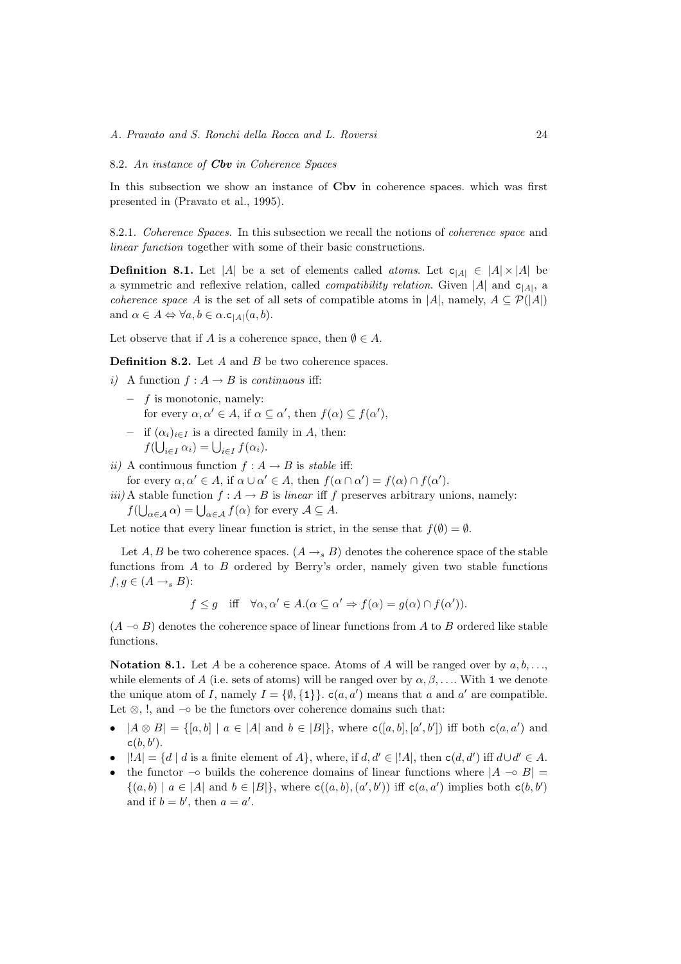#### 8.2. An instance of Cbv in Coherence Spaces

In this subsection we show an instance of Cbv in coherence spaces. which was first presented in (Pravato et al., 1995).

8.2.1. Coherence Spaces. In this subsection we recall the notions of coherence space and linear function together with some of their basic constructions.

**Definition 8.1.** Let |A| be a set of elements called *atoms*. Let  $c_{|A|} \in |A| \times |A|$  be a symmetric and reflexive relation, called *compatibility relation*. Given |A| and  $c_{|A|}$ , a *coherence space* A is the set of all sets of compatible atoms in |A|, namely,  $A \subseteq \mathcal{P}(|A|)$ and  $\alpha \in A \Leftrightarrow \forall a, b \in \alpha$ .c<sub>|A|</sub> $(a, b)$ .

Let observe that if A is a coherence space, then  $\emptyset \in A$ .

**Definition 8.2.** Let A and B be two coherence spaces.

- i) A function  $f : A \rightarrow B$  is *continuous* iff:
	- $-$  f is monotonic, namely: for every  $\alpha, \alpha' \in A$ , if  $\alpha \subseteq \alpha'$ , then  $f(\alpha) \subseteq f(\alpha')$ , – if  $(\alpha_i)_{i\in I}$  is a directed family in A, then:
	- $f(\bigcup_{i\in I}\alpha_i)=\bigcup_{i\in I}f(\alpha_i).$
- ii) A continuous function  $f : A \rightarrow B$  is stable iff:
- for every  $\alpha, \alpha' \in A$ , if  $\alpha \cup \alpha' \in A$ , then  $f(\alpha \cap \alpha') = f(\alpha) \cap f(\alpha')$ .

iii) A stable function  $f : A \to B$  is linear iff f preserves arbitrary unions, namely:  $f(\bigcup_{\alpha\in\mathcal{A}}\alpha)=\bigcup_{\alpha\in\mathcal{A}}f(\alpha)$  for every  $\mathcal{A}\subseteq\mathcal{A}$ .

Let notice that every linear function is strict, in the sense that  $f(\emptyset) = \emptyset$ .

Let A, B be two coherence spaces.  $(A \rightarrow_{s} B)$  denotes the coherence space of the stable functions from  $A$  to  $B$  ordered by Berry's order, namely given two stable functions  $f, g \in (A \rightarrow_{s} B)$ :

 $f \leq g$  iff  $\forall \alpha, \alpha' \in A. (\alpha \subseteq \alpha' \Rightarrow f(\alpha) = g(\alpha) \cap f(\alpha')).$ 

 $(A \nightharpoonup B)$  denotes the coherence space of linear functions from A to B ordered like stable functions.

Notation 8.1. Let A be a coherence space. Atoms of A will be ranged over by  $a, b, \ldots$ while elements of A (i.e. sets of atoms) will be ranged over by  $\alpha, \beta, \ldots$ . With 1 we denote the unique atom of I, namely  $I = \{\emptyset, \{1\}\}\text{.\ } c(a, a')$  means that a and a' are compatible. Let  $\otimes$ , !, and  $\multimap$  be the functors over coherence domains such that:

- $|A \otimes B| = \{[a, b] \mid a \in |A| \text{ and } b \in |B|\}$ , where  $\mathsf{c}([a, b], [a', b'])$  iff both  $\mathsf{c}(a, a')$  and  $c(b, b').$
- $|!A| = \{d \mid d \text{ is a finite element of } A\}$ , where, if  $d, d' \in |!A|$ , then  $c(d, d')$  iff  $d \cup d' \in A$ .
- the functor  $\sim$  builds the coherence domains of linear functions where  $|A \sim B|$  =  $\{(a,b) \mid a \in |A| \text{ and } b \in |B|\},\$  where  $\mathsf{c}((a,b),(a',b'))$  iff  $\mathsf{c}(a,a')$  implies both  $\mathsf{c}(b,b')$ and if  $b = b'$ , then  $a = a'$ .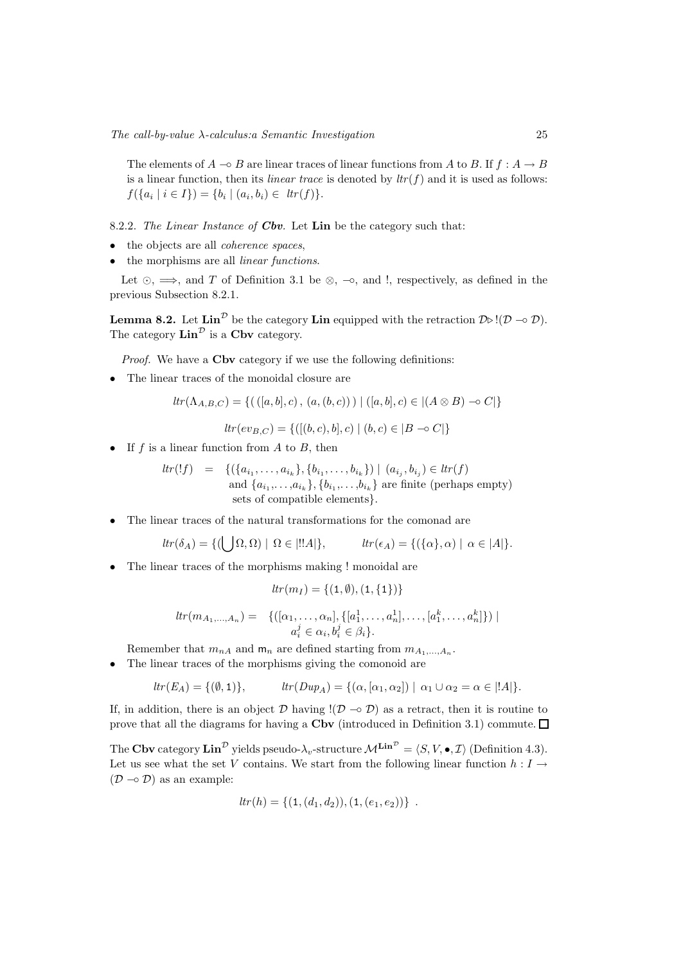The elements of  $A \to B$  are linear traces of linear functions from A to B. If  $f : A \to B$ is a linear function, then its *linear trace* is denoted by  $\text{tr}(f)$  and it is used as follows:  $f({a_i | i \in I}) = {b_i | (a_i, b_i) \in \text{tr}(f)}.$ 

8.2.2. The Linear Instance of  $Cbv$ . Let Lin be the category such that:

- the objects are all *coherence spaces*,
- the morphisms are all *linear functions*.

Let  $\odot$ ,  $\Longrightarrow$ , and T of Definition 3.1 be  $\otimes$ ,  $\neg \circ$ , and !, respectively, as defined in the previous Subsection 8.2.1.

**Lemma 8.2.** Let  $\text{Lin}^{\mathcal{D}}$  be the category **Lin** equipped with the retraction  $\mathcal{D} \triangleright !(\mathcal{D} \multimap \mathcal{D})$ . The category  $\text{Lin}^{\mathcal{D}}$  is a Cbv category.

Proof. We have a **Cbv** category if we use the following definitions:

• The linear traces of the monoidal closure are

$$
tr(\Lambda_{A,B,C}) = \{ (([a,b],c), (a,(b,c))) | ([a,b],c) \in | (A \otimes B) \sim C | \}
$$

 $ltr(ev_{B|C} = \{([ (b, c), b], c) | (b, c) \in |B \multimap C| \}$ 

• If  $f$  is a linear function from  $A$  to  $B$ , then

$$
ltr(lf) = \{ (\{a_{i_1}, \ldots, a_{i_k}\}, \{b_{i_1}, \ldots, b_{i_k}\}) \mid (a_{i_j}, b_{i_j}) \in ltr(f)
$$
  
and  $\{a_{i_1}, \ldots, a_{i_k}\}, \{b_{i_1}, \ldots, b_{i_k}\}$  are finite (perhaps empty)  
sets of compatible elements $\}.$ 

• The linear traces of the natural transformations for the comonad are

$$
ltr(\delta_A) = \{ (\bigcup \Omega, \Omega) \mid \Omega \in |!!A| \}, \qquad ltr(\epsilon_A) = \{ (\{\alpha\}, \alpha) \mid \alpha \in |A| \}.
$$

• The linear traces of the morphisms making ! monoidal are

$$
ltr(m_I) = \{(1, \emptyset), (1, \{1\})\}
$$

$$
tr(m_{A_1,...,A_n}) = \{ ([\alpha_1,...,\alpha_n], \{ [a_1^1,...,a_n^1],..., [a_1^k,...,a_n^k] \}) \mid a_i^j \in \alpha_i, b_i^j \in \beta_i \}.
$$

Remember that  $m_{nA}$  and  $m_n$  are defined starting from  $m_{A_1,...,A_n}$ .

• The linear traces of the morphisms giving the comonoid are

 $ltr(E_A) = \{(\emptyset, 1)\}, \qquad \qquad ltr(Dup_A) = \{(\alpha, [\alpha_1, \alpha_2]) \mid \alpha_1 \cup \alpha_2 = \alpha \in |!A|\}.$ 

If, in addition, there is an object  $\mathcal D$  having  $!(\mathcal D \multimap \mathcal D)$  as a retract, then it is routine to prove that all the diagrams for having a Cbv (introduced in Definition 3.1) commute.  $\Box$ 

The Cbv category  $\text{Lin}^{\mathcal{D}}$  yields pseudo- $\lambda_v$ -structure  $\mathcal{M}^{\text{Lin}^{\mathcal{D}}} = \langle S, V, \bullet, \mathcal{I} \rangle$  (Definition 4.3). Let us see what the set V contains. We start from the following linear function  $h: I \rightarrow$  $(D \nightharpoonup D)$  as an example:

$$
tr(h) = \{ (1, (d_1, d_2)), (1, (e_1, e_2)) \}.
$$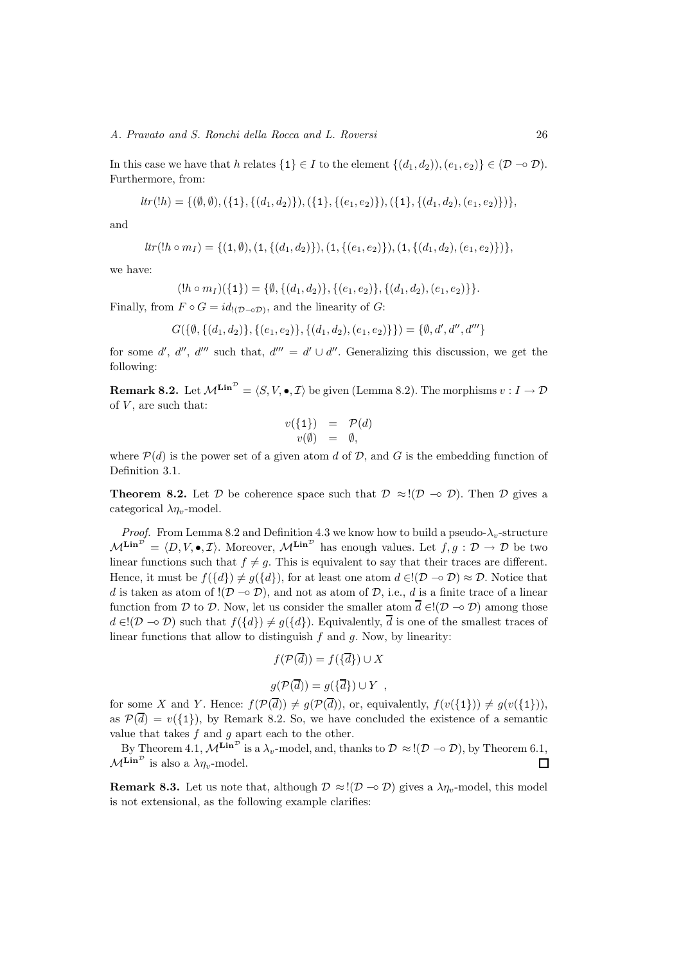#### A. Pravato and S. Ronchi della Rocca and L. Roversi 26

In this case we have that h relates  $\{1\} \in I$  to the element  $\{(d_1, d_2), (e_1, e_2)\} \in (\mathcal{D} \to \mathcal{D})$ . Furthermore, from:

$$
tr(lh) = \{(\emptyset, \emptyset), (\{1\}, \{(d_1, d_2)\}), (\{1\}, \{(e_1, e_2)\}), (\{1\}, \{(d_1, d_2), (e_1, e_2)\})\},\
$$

and

$$
tr(lh \circ m_I) = \{ (1, \emptyset), (1, \{(d_1, d_2)\}), (1, \{(e_1, e_2)\}), (1, \{(d_1, d_2), (e_1, e_2)\}) \},
$$

we have:

$$
(!h \circ m_I)(\{1\}) = \{\emptyset, \{(d_1, d_2)\}, \{(e_1, e_2)\}, \{(d_1, d_2), (e_1, e_2)\}\}.
$$

Finally, from  $F \circ G = id_{(D \circ \mathcal{D})}$ , and the linearity of  $G$ :

$$
G(\{\emptyset, \{(d_1, d_2)\}, \{(e_1, e_2)\}, \{(d_1, d_2), (e_1, e_2)\}\}) = \{\emptyset, d', d'', d'''\}
$$

for some d', d'', d''' such that,  $d''' = d' \cup d''$ . Generalizing this discussion, we get the following:

**Remark 8.2.** Let  $\mathcal{M}^{\mathbf{Lin}^{\mathcal{D}}} = \langle S, V, \bullet, \mathcal{I} \rangle$  be given (Lemma 8.2). The morphisms  $v : I \to \mathcal{D}$ of  $V$ , are such that:

$$
v(\lbrace 1 \rbrace) = \mathcal{P}(d) v(\emptyset) = \emptyset,
$$

where  $\mathcal{P}(d)$  is the power set of a given atom d of D, and G is the embedding function of Definition 3.1.

**Theorem 8.2.** Let D be coherence space such that  $\mathcal{D} \approx (\mathcal{D} \sim \mathcal{D})$ . Then D gives a categorical  $\lambda \eta_v$ -model.

*Proof.* From Lemma 8.2 and Definition 4.3 we know how to build a pseudo- $\lambda_v$ -structure  $\mathcal{M}^{\mathbf{Lin}^{\mathcal{D}}} = \langle D, V, \bullet, \mathcal{I} \rangle$ . Moreover,  $\mathcal{M}^{\mathbf{Lin}^{\mathcal{D}}}$  has enough values. Let  $f, g: \mathcal{D} \to \mathcal{D}$  be two linear functions such that  $f \neq g$ . This is equivalent to say that their traces are different. Hence, it must be  $f({d}) \neq g({d})$ , for at least one atom  $d \in [D \multimap D) \approx D$ . Notice that d is taken as atom of  $!(\mathcal{D} \neg \mathcal{D})$ , and not as atom of  $\mathcal{D}$ , i.e., d is a finite trace of a linear function from D to D. Now, let us consider the smaller atom  $\overline{d} \in I(\mathcal{D} \to \mathcal{D})$  among those  $d \in [D \to D)$  such that  $f({d}) \neq g({d})$ . Equivalently,  $\overline{d}$  is one of the smallest traces of linear functions that allow to distinguish  $f$  and  $g$ . Now, by linearity:

$$
f(\mathcal{P}(\overline{d})) = f(\{\overline{d}\}) \cup X
$$

$$
g(\mathcal{P}(\overline{d})) = g(\{\overline{d}\}) \cup Y ,
$$

for some X and Y. Hence:  $f(\mathcal{P}(\overline{d})) \neq g(\mathcal{P}(\overline{d}))$ , or, equivalently,  $f(v(\{1\})) \neq g(v(\{1\})),$ as  $\mathcal{P}(\overline{d}) = v({1})$ , by Remark 8.2. So, we have concluded the existence of a semantic value that takes  $f$  and  $g$  apart each to the other.

By Theorem 4.1,  $\mathcal{M}^{\mathbf{Lin}^{\mathcal{D}}}$  is a  $\lambda_v$ -model, and, thanks to  $\mathcal{D} \approx !(\mathcal{D} \multimap \mathcal{D})$ , by Theorem 6.1,  $M^{\mathbf{Lin}^{\mathcal{D}}}$  is also a  $\lambda \eta_v$ -model.  $\Box$ 

**Remark 8.3.** Let us note that, although  $\mathcal{D} \approx !(\mathcal{D} \rightarrow \mathcal{D})$  gives a  $\lambda \eta_{v}$ -model, this model is not extensional, as the following example clarifies: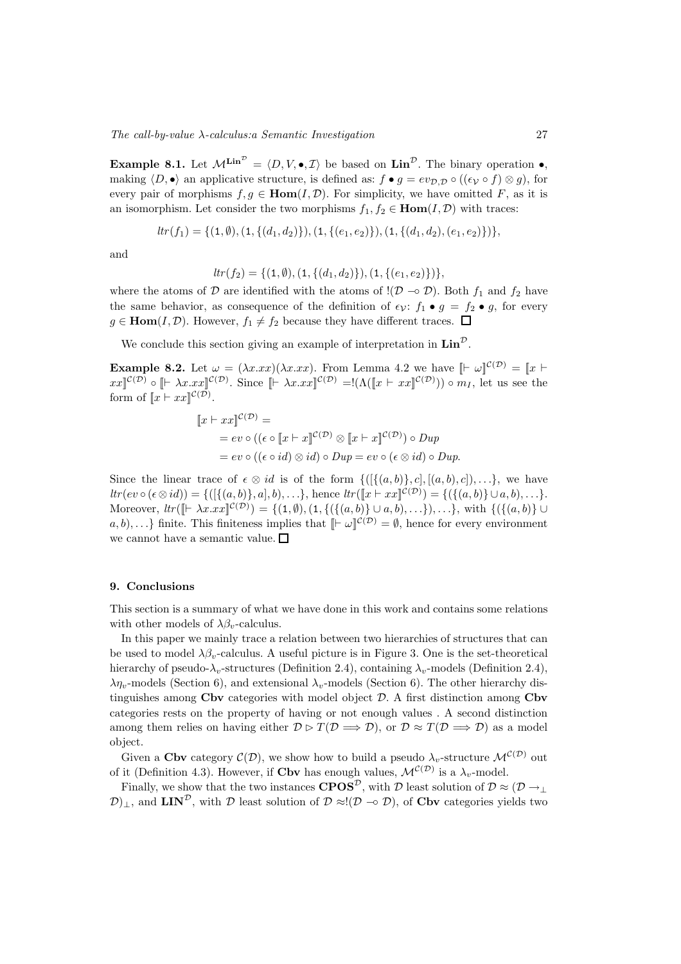**Example 8.1.** Let  $\mathcal{M}^{\text{Lin}^{\mathcal{D}}} = \langle D, V, \bullet, \mathcal{I} \rangle$  be based on  $\text{Lin}^{\mathcal{D}}$ . The binary operation  $\bullet$ , making  $\langle D, \bullet \rangle$  an applicative structure, is defined as:  $f \bullet g = ev_{\mathcal{D}, \mathcal{D}} \circ ((\epsilon_{\mathcal{V}} \circ f) \otimes g)$ , for every pair of morphisms  $f, g \in \text{Hom}(I, \mathcal{D})$ . For simplicity, we have omitted F, as it is an isomorphism. Let consider the two morphisms  $f_1, f_2 \in \text{Hom}(I, \mathcal{D})$  with traces:

$$
tr(f_1) = \{ (1, \emptyset), (1, \{(d_1, d_2)\}), (1, \{(e_1, e_2)\}), (1, \{(d_1, d_2), (e_1, e_2)\}) \},
$$

and

$$
ltr(f_2) = \{(1, \emptyset), (1, \{(d_1, d_2)\}), (1, \{(e_1, e_2)\})\},\
$$

where the atoms of  $D$  are identified with the atoms of  $!(D \sim D)$ . Both  $f_1$  and  $f_2$  have the same behavior, as consequence of the definition of  $\epsilon_{\mathcal{V}}$ :  $f_1 \bullet g = f_2 \bullet g$ , for every  $g \in \text{Hom}(I, \mathcal{D})$ . However,  $f_1 \neq f_2$  because they have different traces.  $\Box$ 

We conclude this section giving an example of interpretation in  $\text{Lin}^{\mathcal{D}}$ .

**Example 8.2.** Let  $\omega = (\lambda x . xx)(\lambda x . xx)$ . From Lemma 4.2 we have  $\lbrack \lbrack \vdash \omega \rbrack^{\mathcal{C}(\mathcal{D})} = \lbrack \lbrack x \rbrack \vdash$  $xx\llbracket^{\mathcal{C}(\mathcal{D})}\circ\llbracket \vdash \lambda x.xx\rrbracket^{\mathcal{C}(\mathcal{D})}\right.$  Since  $\llbracket \vdash \lambda x.xx\rrbracket^{\mathcal{C}(\mathcal{D})} = !(\Lambda([\llbracket x \vdash xx\rrbracket^{\mathcal{C}(\mathcal{D})})) \circ m_I$ , let us see the form of  $\llbracket x \vdash xx \rrbracket^{\mathcal{C}(\mathcal{D})}.$ 

$$
[x \vdash xx]^{\mathcal{C}(\mathcal{D})} =
$$
  
=  $ev \circ ((\epsilon \circ [x \vdash x]^{\mathcal{C}(\mathcal{D})} \otimes [x \vdash x]^{\mathcal{C}(\mathcal{D})}) \circ Dup$   
=  $ev \circ ((\epsilon \circ id) \otimes id) \circ Dup = ev \circ (\epsilon \otimes id) \circ Dup.$ 

Since the linear trace of  $\epsilon \otimes id$  is of the form  $\{([\{(a,b)\},c], [(a,b),c], \ldots\},\)$  we have  $ltr(ev \circ (\epsilon \otimes id)) = \{([ \{(a, b)\}, a], b), \ldots \}, \text{ hence } \text{tr}([\![x \vdash xx\!]^{\mathcal{C}(\mathcal{D})}) = \{(\{(a, b)\} \cup a, b), \ldots \}.$ Moreover,  $\text{tr}([\mathbb{F} \lambda x. \text{tr}(\mathbb{C}^{\mathcal{D}})] = \{(1, \emptyset), (1, \{(\{(a, b)\} \cup a, b), \ldots\}), \ldots\},\$  with  $\{(\{(a, b)\} \cup$  $a, b), \ldots\}$  finite. This finiteness implies that  $\lbrack \Vbrack^{\mathcal{L}(\mathcal{D})} = \emptyset$ , hence for every environment we cannot have a semantic value.

#### 9. Conclusions

This section is a summary of what we have done in this work and contains some relations with other models of  $\lambda \beta_v$ -calculus.

In this paper we mainly trace a relation between two hierarchies of structures that can be used to model  $\lambda \beta_v$ -calculus. A useful picture is in Figure 3. One is the set-theoretical hierarchy of pseudo- $\lambda_v$ -structures (Definition 2.4), containing  $\lambda_v$ -models (Definition 2.4),  $\lambda \eta_v$ -models (Section 6), and extensional  $\lambda_v$ -models (Section 6). The other hierarchy distinguishes among  $C$ bv categories with model object  $D$ . A first distinction among  $C$ bv categories rests on the property of having or not enough values . A second distinction among them relies on having either  $\mathcal{D} \triangleright T(\mathcal{D} \Longrightarrow \mathcal{D})$ , or  $\mathcal{D} \approx T(\mathcal{D} \Longrightarrow \mathcal{D})$  as a model object.

Given a Cbv category  $\mathcal{C}(\mathcal{D})$ , we show how to build a pseudo  $\lambda_v$ -structure  $\mathcal{M}^{\mathcal{C}(\mathcal{D})}$  out of it (Definition 4.3). However, if **Cbv** has enough values,  $\mathcal{M}^{\mathcal{C}(\mathcal{D})}$  is a  $\lambda_v$ -model.

Finally, we show that the two instances  $CPOS^{\mathcal{D}}$ , with  $\mathcal{D}$  least solution of  $\mathcal{D} \approx (\mathcal{D} \rightarrow \perp$  $\mathcal{D}_{\perp}$ , and LIN<sup>D</sup>, with D least solution of D ≈!(D –☉ D), of Cbv categories yields two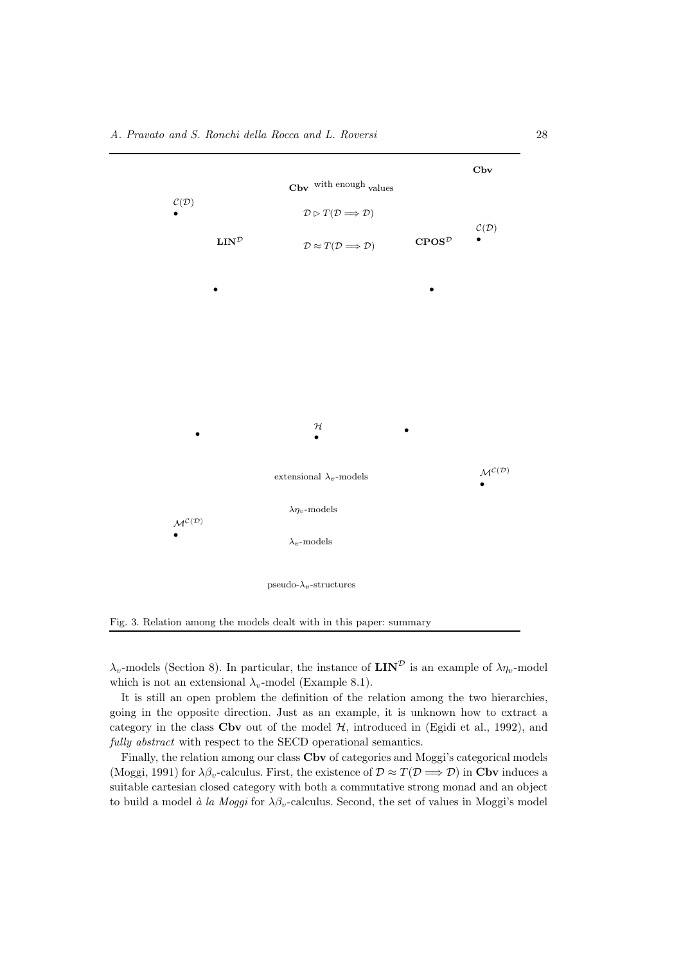

Fig. 3. Relation among the models dealt with in this paper: summary

 $\lambda_v$ -models (Section 8). In particular, the instance of  $\mathbf{LIN}^{\mathcal{D}}$  is an example of  $\lambda_{\eta_v}$ -model which is not an extensional  $\lambda_v$ -model (Example 8.1).

It is still an open problem the definition of the relation among the two hierarchies, going in the opposite direction. Just as an example, it is unknown how to extract a category in the class Cbv out of the model  $H$ , introduced in (Egidi et al., 1992), and fully abstract with respect to the SECD operational semantics.

Finally, the relation among our class Cbv of categories and Moggi's categorical models (Moggi, 1991) for  $\lambda \beta_v$ -calculus. First, the existence of  $\mathcal{D} \approx T(\mathcal{D} \Longrightarrow \mathcal{D})$  in Cbv induces a suitable cartesian closed category with both a commutative strong monad and an object to build a model à la Moggi for  $\lambda \beta_v$ -calculus. Second, the set of values in Moggi's model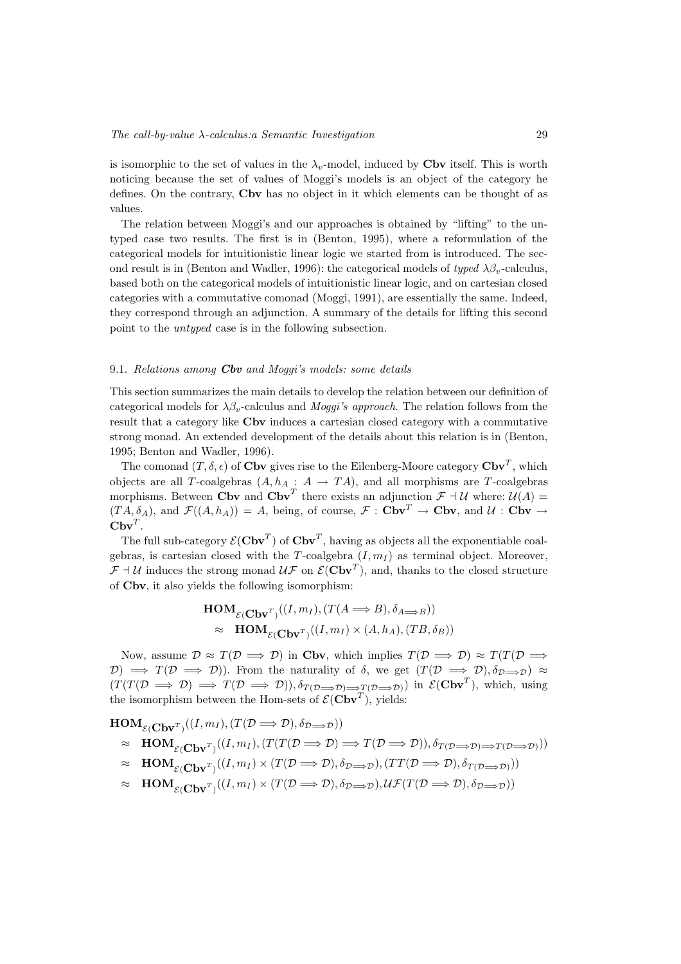is isomorphic to the set of values in the  $\lambda_v$ -model, induced by **Cbv** itself. This is worth noticing because the set of values of Moggi's models is an object of the category he defines. On the contrary, Cbv has no object in it which elements can be thought of as values.

The relation between Moggi's and our approaches is obtained by "lifting" to the untyped case two results. The first is in (Benton, 1995), where a reformulation of the categorical models for intuitionistic linear logic we started from is introduced. The second result is in (Benton and Wadler, 1996): the categorical models of typed  $\lambda \beta_v$ -calculus, based both on the categorical models of intuitionistic linear logic, and on cartesian closed categories with a commutative comonad (Moggi, 1991), are essentially the same. Indeed, they correspond through an adjunction. A summary of the details for lifting this second point to the untyped case is in the following subsection.

#### 9.1. Relations among  $Cbv$  and Moggi's models: some details

This section summarizes the main details to develop the relation between our definition of categorical models for  $\lambda \beta_v$ -calculus and *Moggi's approach*. The relation follows from the result that a category like Cbv induces a cartesian closed category with a commutative strong monad. An extended development of the details about this relation is in (Benton, 1995; Benton and Wadler, 1996).

The comonad  $(T, \delta, \epsilon)$  of Cbv gives rise to the Eilenberg-Moore category  $\mathbf{Cbv}^T$ , which objects are all T-coalgebras  $(A, h_A : A \to TA)$ , and all morphisms are T-coalgebras morphisms. Between Cbv and Cbv<sup>T</sup> there exists an adjunction  $\mathcal{F} \dashv \mathcal{U}$  where:  $\mathcal{U}(A) =$  $(T A, \delta_A)$ , and  $\mathcal{F}((A, h_A)) = A$ , being, of course,  $\mathcal{F}: \mathbf{Cbv}^T \to \mathbf{Cbv}$ , and  $\mathcal{U}: \mathbf{Cbv} \to \mathbf{Cbv}$  $Cbv^T$ .

The full sub-category  $\mathcal{E}(\mathbf{C}\mathbf{b}\mathbf{v}^T)$  of  $\mathbf{C}\mathbf{b}\mathbf{v}^T$ , having as objects all the exponentiable coalgebras, is cartesian closed with the T-coalgebra  $(I, m_I)$  as terminal object. Moreover,  $\mathcal{F} \dashv \mathcal{U}$  induces the strong monad  $\mathcal{U}\mathcal{F}$  on  $\mathcal{E}(\mathbf{C}\mathbf{b}\mathbf{v}^T)$ , and, thanks to the closed structure of Cbv, it also yields the following isomorphism:

$$
\mathbf{HOM}_{\mathcal{E}(\mathbf{Cbv}^T)}((I, m_I), (T(A \Longrightarrow B), \delta_{A \Longrightarrow B}))
$$
  
 
$$
\approx \mathbf{HOM}_{\mathcal{E}(\mathbf{Cbv}^T)}((I, m_I) \times (A, h_A), (TB, \delta_B))
$$

Now, assume  $\mathcal{D} \approx T(\mathcal{D} \Longrightarrow \mathcal{D})$  in Cbv, which implies  $T(\mathcal{D} \Longrightarrow \mathcal{D}) \approx T(T(\mathcal{D} \Longrightarrow \mathcal{D}))$  $(D) \implies T(D \implies D)$ . From the naturality of  $\delta$ , we get  $(T(D \implies D), \delta_{D \implies D}) \approx$  $(T(T(D \implies D) \implies T(D \implies D)), \delta_{T(D \implies D) \implies T(D \implies D))}$  in  $\mathcal{E}(\mathbf{Cbv}^T)$ , which, using the isomorphism between the Hom-sets of  $\mathcal{E}(\mathbf{C}\mathbf{b}\mathbf{v}^T)$ , yields:

 $\mathbf{HOM}_{\mathcal{E}(\mathbf{C}\mathbf{b}\mathbf{v}^T)}((I, m_I), (T(\mathcal{D} \Longrightarrow \mathcal{D}), \delta_{\mathcal{D} \Longrightarrow \mathcal{D}}))$  $\approx \text{HOM}_{\mathcal{E}(\text{Cbv}^T)}((I, m_I), (T(T(\mathcal{D} \Longrightarrow \mathcal{D}) \Longrightarrow T(\mathcal{D} \Longrightarrow \mathcal{D})), \delta_{T(\mathcal{D} \Longrightarrow \mathcal{D}) \Longrightarrow T(\mathcal{D} \Longrightarrow \mathcal{D})))}$  $\approx \text{HOM}_{\mathcal{E}(\mathbf{C}\mathbf{b}\mathbf{v}^T)}((I, m_I) \times (T(\mathcal{D} \Longrightarrow \mathcal{D}), \delta_{\mathcal{D} \Longrightarrow \mathcal{D}}), (TT(\mathcal{D} \Longrightarrow \mathcal{D}), \delta_{T(\mathcal{D} \Longrightarrow \mathcal{D}})))$  $\approx \text{HOM}_{\mathcal{E}(\mathbf{C}\mathbf{b}\mathbf{v}^T)}((I, m_I) \times (T(\mathcal{D} \Longrightarrow \mathcal{D}), \delta_{\mathcal{D} \Longrightarrow \mathcal{D}}), \mathcal{U}\mathcal{F}(T(\mathcal{D} \Longrightarrow \mathcal{D}), \delta_{\mathcal{D} \Longrightarrow \mathcal{D}}))$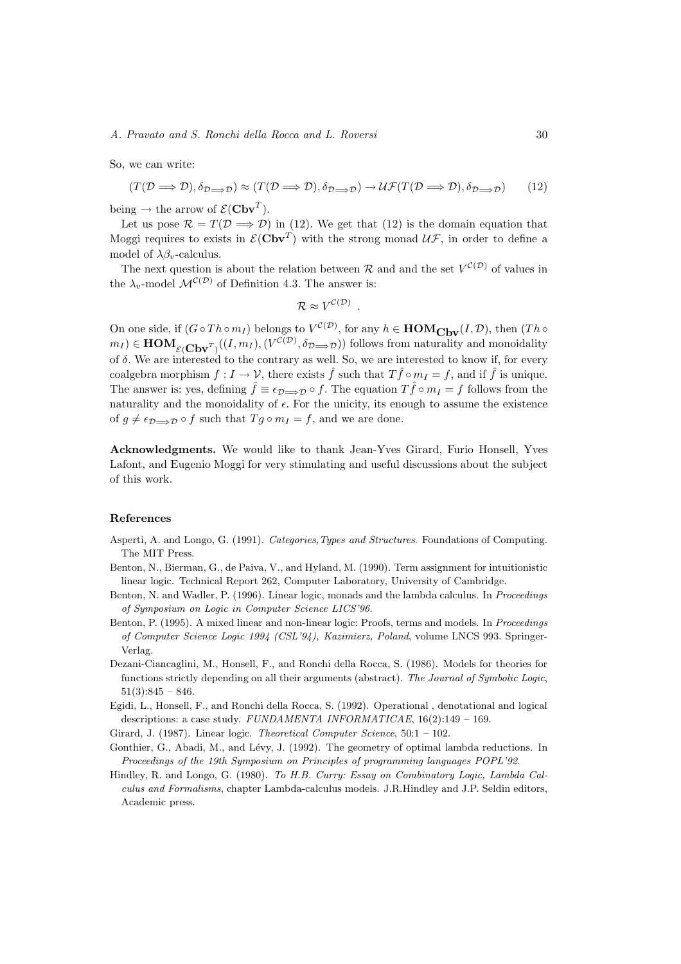#### A. Pravato and S. Ronchi della Rocca and L. Roversi 30

So, we can write:

$$
(T(\mathcal{D}\Longrightarrow\mathcal{D}),\delta_{\mathcal{D}\Longrightarrow\mathcal{D}})\approx(T(\mathcal{D}\Longrightarrow\mathcal{D}),\delta_{\mathcal{D}\Longrightarrow\mathcal{D}})\rightarrow\mathcal{U}\mathcal{F}(T(\mathcal{D}\Longrightarrow\mathcal{D}),\delta_{\mathcal{D}\Longrightarrow\mathcal{D}})
$$
(12)

being  $\rightarrow$  the arrow of  $\mathcal{E}(\mathbf{C}\mathbf{b}\mathbf{v}^T)$ .

Let us pose  $\mathcal{R} = T(\mathcal{D} \Longrightarrow \mathcal{D})$  in (12). We get that (12) is the domain equation that Moggi requires to exists in  $\mathcal{E}(\mathbf{C}\mathbf{b}\mathbf{v}^T)$  with the strong monad  $\mathcal{U}\mathcal{F}$ , in order to define a model of  $\lambda \beta_v$ -calculus.

The next question is about the relation between R and and the set  $V^{(\mathcal{D})}$  of values in the  $\lambda_v$ -model  $\mathcal{M}^{\mathcal{C}(\mathcal{D})}$  of Definition 4.3. The answer is:

$$
\mathcal{R} \approx V^{\mathcal{C}(\mathcal{D})} \ .
$$

On one side, if  $(G \circ Th \circ m_I)$  belongs to  $V^{C(D)}$ , for any  $h \in HOM_{\mathbf{Cbv}}(I, \mathcal{D})$ , then  $(Th \circ m_I)$  $m_I) \in \text{HOM}_{\mathcal{E}(\mathbf{C}\mathbf{b}\mathbf{v}^T)}((I, m_I), (V^{\mathcal{C}(\mathcal{D})}, \delta_{\mathcal{D} \implies \mathcal{D}}))$  follows from naturality and monoidality of  $\delta$ . We are interested to the contrary as well. So, we are interested to know if, for every coalgebra morphism  $f: I \to V$ , there exists  $\hat{f}$  such that  $T\hat{f} \circ m_I = f$ , and if  $\hat{f}$  is unique. The answer is: yes, defining  $\hat{f} \equiv \epsilon_{\mathcal{D}\implies\mathcal{D}} \circ f$ . The equation  $T\hat{f} \circ m_I = f$  follows from the naturality and the monoidality of  $\epsilon$ . For the unicity, its enough to assume the existence of  $g \neq \epsilon_{\mathcal{D}\Longrightarrow\mathcal{D}} \circ f$  such that  $T g \circ m_I = f$ , and we are done.

Acknowledgments. We would like to thank Jean-Yves Girard, Furio Honsell, Yves Lafont, and Eugenio Moggi for very stimulating and useful discussions about the subject of this work.

#### References

- Asperti, A. and Longo, G. (1991). Categories,Types and Structures. Foundations of Computing. The MIT Press.
- Benton, N., Bierman, G., de Paiva, V., and Hyland, M. (1990). Term assignment for intuitionistic linear logic. Technical Report 262, Computer Laboratory, University of Cambridge.
- Benton, N. and Wadler, P. (1996). Linear logic, monads and the lambda calculus. In Proceedings of Symposium on Logic in Computer Science LICS'96.
- Benton, P. (1995). A mixed linear and non-linear logic: Proofs, terms and models. In Proceedings of Computer Science Logic 1994 (CSL'94), Kazimierz, Poland, volume LNCS 993. Springer-Verlag.
- Dezani-Ciancaglini, M., Honsell, F., and Ronchi della Rocca, S. (1986). Models for theories for functions strictly depending on all their arguments (abstract). The Journal of Symbolic Logic,  $51(3):845 - 846.$
- Egidi, L., Honsell, F., and Ronchi della Rocca, S. (1992). Operational , denotational and logical descriptions: a case study. FUNDAMENTA INFORMATICAE,  $16(2)$ :149 - 169.
- Girard, J. (1987). Linear logic. Theoretical Computer Science, 50:1 102.
- Gonthier, G., Abadi, M., and Lévy, J. (1992). The geometry of optimal lambda reductions. In Proceedings of the 19th Symposium on Principles of programming languages POPL'92.
- Hindley, R. and Longo, G. (1980). To H.B. Curry: Essay on Combinatory Logic, Lambda Calculus and Formalisms, chapter Lambda-calculus models. J.R.Hindley and J.P. Seldin editors, Academic press.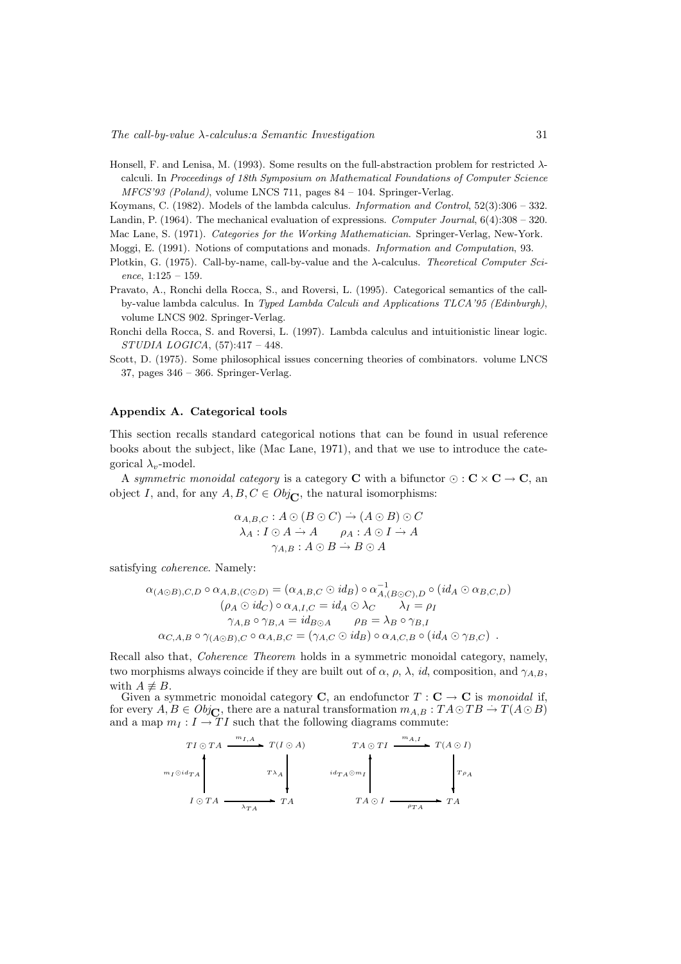Honsell, F. and Lenisa, M. (1993). Some results on the full-abstraction problem for restricted  $\lambda$ calculi. In Proceedings of 18th Symposium on Mathematical Foundations of Computer Science MFCS'93 (Poland), volume LNCS 711, pages 84 – 104. Springer-Verlag.

Koymans, C. (1982). Models of the lambda calculus. Information and Control, 52(3):306 – 332. Landin, P. (1964). The mechanical evaluation of expressions. Computer Journal, 6(4):308 – 320.

Mac Lane, S. (1971). Categories for the Working Mathematician. Springer-Verlag, New-York.

Moggi, E. (1991). Notions of computations and monads. Information and Computation, 93.

- Plotkin, G. (1975). Call-by-name, call-by-value and the  $\lambda$ -calculus. Theoretical Computer Science,  $1:125 - 159$ .
- Pravato, A., Ronchi della Rocca, S., and Roversi, L. (1995). Categorical semantics of the callby-value lambda calculus. In Typed Lambda Calculi and Applications TLCA'95 (Edinburgh), volume LNCS 902. Springer-Verlag.
- Ronchi della Rocca, S. and Roversi, L. (1997). Lambda calculus and intuitionistic linear logic. STUDIA LOGICA, (57):417 – 448.
- Scott, D. (1975). Some philosophical issues concerning theories of combinators. volume LNCS 37, pages 346 – 366. Springer-Verlag.

#### Appendix A. Categorical tools

This section recalls standard categorical notions that can be found in usual reference books about the subject, like (Mac Lane, 1971), and that we use to introduce the categorical  $\lambda_v$ -model.

A symmetric monoidal category is a category C with a bifunctor  $\odot$  :  $\mathbf{C} \times \mathbf{C} \to \mathbf{C}$ , an object I, and, for any  $A, B, C \in Obj_{\mathbb{C}}$ , the natural isomorphisms:

$$
\alpha_{A,B,C}: A \odot (B \odot C) \rightarrow (A \odot B) \odot C
$$
  

$$
\lambda_A: I \odot A \rightarrow A \qquad \rho_A: A \odot I \rightarrow A
$$
  

$$
\gamma_{A,B}: A \odot B \rightarrow B \odot A
$$

satisfying coherence. Namely:

$$
\alpha_{(A \odot B), C, D} \circ \alpha_{A, B, (C \odot D)} = (\alpha_{A, B, C} \odot id_B) \circ \alpha_{A, (B \odot C), D}^{-1} \circ (id_A \odot \alpha_{B, C, D})
$$
  
\n
$$
(\rho_A \odot id_C) \circ \alpha_{A, I, C} = id_A \odot \lambda_C \qquad \lambda_I = \rho_I
$$
  
\n
$$
\gamma_{A, B} \circ \gamma_{B, A} = id_{B \odot A} \qquad \rho_B = \lambda_B \circ \gamma_{B, I}
$$
  
\n
$$
\alpha_{C, A, B} \circ \gamma_{(A \odot B), C} \circ \alpha_{A, B, C} = (\gamma_{A, C} \odot id_B) \circ \alpha_{A, C, B} \circ (id_A \odot \gamma_{B, C}) .
$$

Recall also that, Coherence Theorem holds in a symmetric monoidal category, namely, two morphisms always coincide if they are built out of  $\alpha$ ,  $\rho$ ,  $\lambda$ , *id*, composition, and  $\gamma_{A,B}$ , with  $A \neq B$ .

Given a symmetric monoidal category **C**, an endofunctor  $T : \mathbf{C} \to \mathbf{C}$  is monoidal if, for every  $A, B \in Obj_{\mathbb{C}}$ , there are a natural transformation  $m_{A,B} : TA \odot TB \rightarrow T(A \odot B)$ and a map  $m_I : I \to TI$  such that the following diagrams commute:

$$
T I \odot TA \xrightarrow{m_{I,A}} T(I \odot A) \qquad TA \odot TI \xrightarrow{m_{A,I}} T(A \odot I)
$$
\n
$$
T A \odot TI \xrightarrow{m_{A,I}} T(A \odot I)
$$
\n
$$
T A \odot T A \xrightarrow{m_{I,A,I}} T(A \odot I)
$$
\n
$$
i d_{TA} \odot m_I
$$
\n
$$
T A \odot I \xrightarrow{\rho_{TA}} T A
$$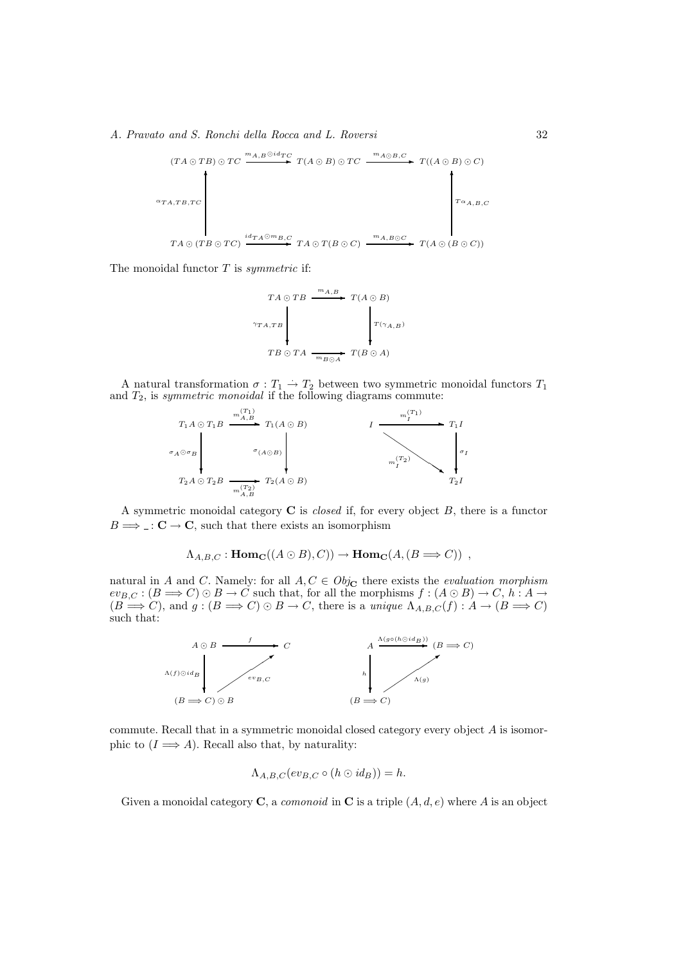$$
(TA \odot TB) \odot TC \xrightarrow{m_{A,B} \odot id_{TC}} T(A \odot B) \odot TC \xrightarrow{m_{A \odot B,C}} T((A \odot B) \odot C)
$$
\n
$$
\circ T_{A,TB,TC}
$$
\n
$$
TA \odot (TB \odot TC) \xrightarrow{id_{TA} \odot m_{B,C}} TA \odot T(B \odot C) \xrightarrow{m_{A,B} \odot C} T(A \odot (B \odot C))
$$

The monoidal functor  $T$  is symmetric if:



A natural transformation  $\sigma: T_1 \to T_2$  between two symmetric monoidal functors  $T_1$ and  $T_2$ , is symmetric monoidal if the following diagrams commute:



A symmetric monoidal category  $C$  is *closed* if, for every object  $B$ , there is a functor  $B \Longrightarrow$  :  $C \rightarrow C$ , such that there exists an isomorphism

$$
\Lambda_{A,B,C} : \text{Hom}_{\mathbf{C}}((A \odot B), C)) \to \text{Hom}_{\mathbf{C}}(A, (B \Longrightarrow C)) ,
$$

natural in A and C. Namely: for all  $A, C \in Obj_{\mathbf{C}}$  there exists the *evaluation morphism*  $ev_{B,C} : (B \longrightarrow C) \odot B \longrightarrow C$  such that, for all the morphisms  $f : (A \odot B) \rightarrow C$ ,  $h : A \rightarrow$  $(B \Longrightarrow C)$ , and  $g : (B \Longrightarrow C) \bigcirc B \to C$ , there is a unique  $\Lambda_{A,B,C}(f) : A \to (B \Longrightarrow C)$ such that:



commute. Recall that in a symmetric monoidal closed category every object A is isomorphic to  $(I \Longrightarrow A)$ . Recall also that, by naturality:

$$
\Lambda_{A,B,C}(ev_{B,C} \circ (h \odot id_B)) = h.
$$

Given a monoidal category **C**, a *comonoid* in **C** is a triple  $(A, d, e)$  where A is an object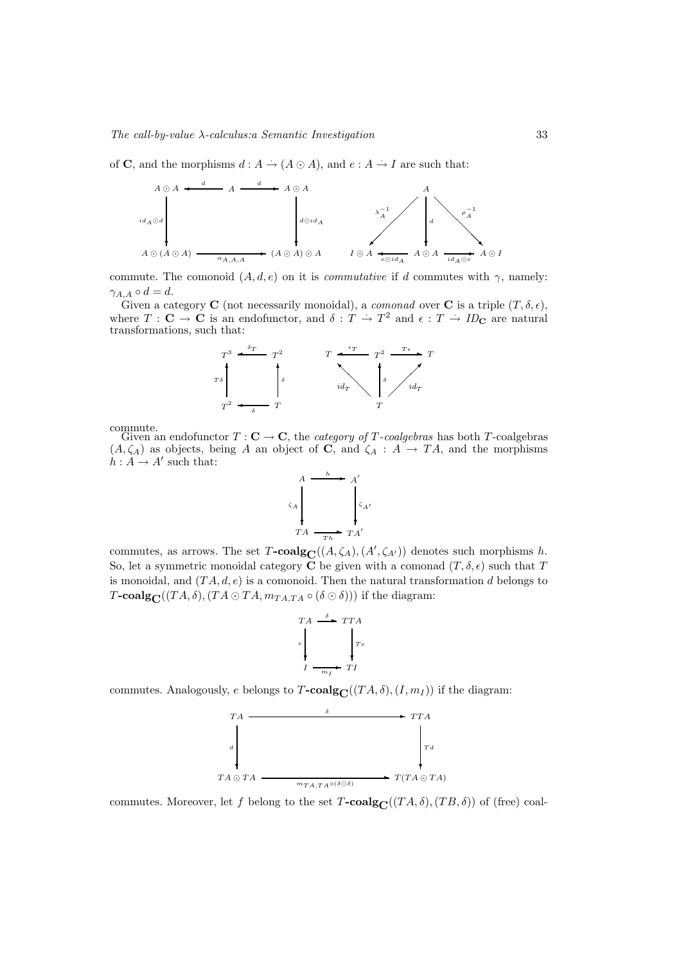of **C**, and the morphisms  $d : A \to (A \odot A)$ , and  $e : A \to I$  are such that:



commute. The comonoid  $(A, d, e)$  on it is *commutative* if d commutes with  $\gamma$ , namely:  $\gamma_{A,A} \circ d = d.$ 

Given a category **C** (not necessarily monoidal), a *comonad* over **C** is a triple  $(T, \delta, \epsilon)$ , where  $T : \mathbf{C} \to \mathbf{C}$  is an endofunctor, and  $\delta : T \to T^2$  and  $\epsilon : T \to ID_{\mathbf{C}}$  are natural transformations, such that:



commute.

Given an endofunctor  $T : \mathbf{C} \to \mathbf{C}$ , the *category of T-coalgebras* has both T-coalgebras  $(A, \zeta_A)$  as objects, being A an object of C, and  $\zeta_A : A \to TA$ , and the morphisms  $h: A \to A'$  such that:



commutes, as arrows. The set  $T\text{-}\mathrm{coalg}_{\mathbf{C}}((A,\zeta_A),(A',\zeta_{A'}))$  denotes such morphisms h. So, let a symmetric monoidal category C be given with a comonad  $(T, \delta, \epsilon)$  such that T is monoidal, and  $(TA, d, e)$  is a comonoid. Then the natural transformation d belongs to T-coalg $\mathbf{C}((TA,\delta),(TA\odot TA,m_{TA,TA}\circ(\delta\odot\delta)))$  if the diagram:

$$
T A \xrightarrow{\delta} T T A
$$
\n
$$
e \qquad \qquad \downarrow T e
$$
\n
$$
I \xrightarrow{\text{m}_I} T I
$$

commutes. Analogously, e belongs to  $T$ -coalg $C((TA, \delta), (I, m_I))$  if the diagram:



commutes. Moreover, let f belong to the set  $T$ -coalg<sub>C</sub>( $(T A, \delta)$ ,  $(T B, \delta)$ ) of (free) coal-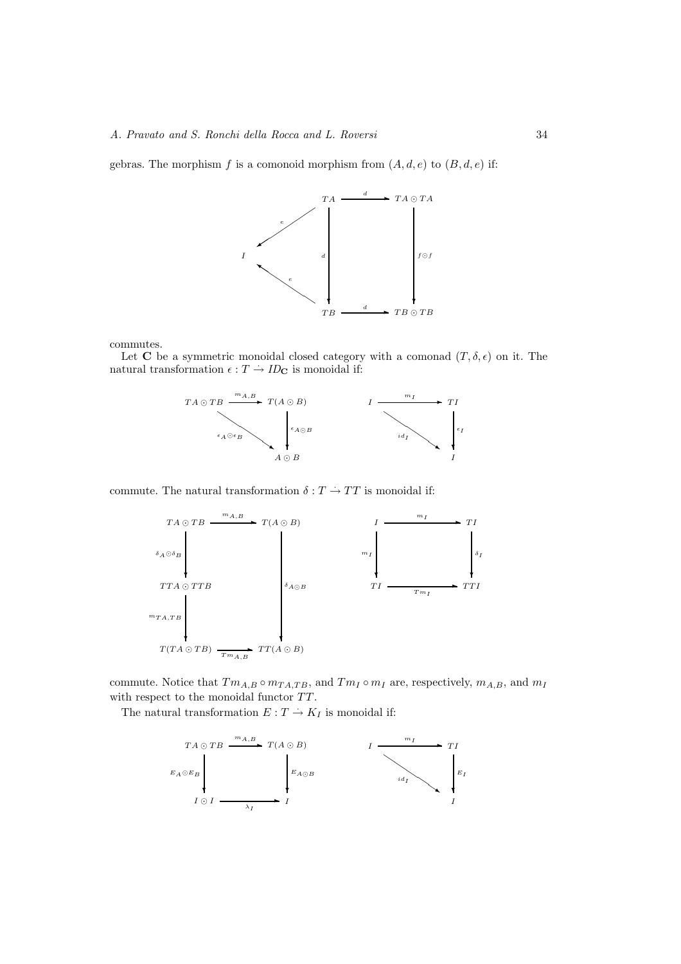gebras. The morphism f is a comonoid morphism from  $(A, d, e)$  to  $(B, d, e)$  if:



commutes.

Let C be a symmetric monoidal closed category with a comonad  $(T, \delta, \epsilon)$  on it. The natural transformation  $\epsilon : T \to ID_{\mathbf{C}}$  is monoidal if:



commute. The natural transformation  $\delta: T \to TT$  is monoidal if:



commute. Notice that  $T_{m_A,B} \circ m_{TA,TB}$ , and  $T_{m_I} \circ m_I$  are, respectively,  $m_{A,B}$ , and  $m_I$ with respect to the monoidal functor  $TT$ .

The natural transformation  $E: T \to K_I$  is monoidal if: